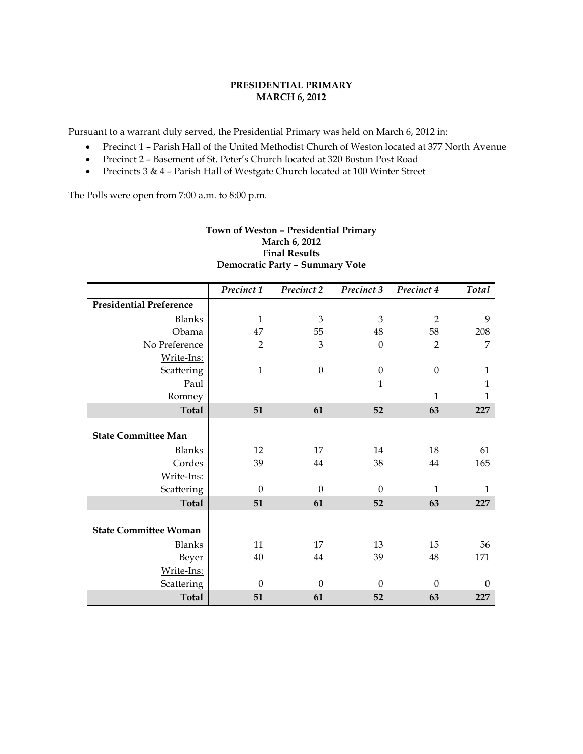# **PRESIDENTIAL PRIMARY MARCH 6, 2012**

Pursuant to a warrant duly served, the Presidential Primary was held on March 6, 2012 in:

- Precinct 1 Parish Hall of the United Methodist Church of Weston located at 377 North Avenue
- Precinct 2 Basement of St. Peter's Church located at 320 Boston Post Road
- Precincts 3 & 4 Parish Hall of Westgate Church located at 100 Winter Street

The Polls were open from 7:00 a.m. to 8:00 p.m.

| <b>Final Results</b>                   |                |                  |                  |                |              |  |
|----------------------------------------|----------------|------------------|------------------|----------------|--------------|--|
| <b>Democratic Party - Summary Vote</b> |                |                  |                  |                |              |  |
|                                        | Precinct 1     | Precinct 2       | Precinct 3       | Precinct 4     | Total        |  |
| <b>Presidential Preference</b>         |                |                  |                  |                |              |  |
| <b>Blanks</b>                          | $\mathbf{1}$   | 3                | 3                | $\overline{2}$ | 9            |  |
| Obama                                  | 47             | 55               | 48               | 58             | 208          |  |
| No Preference                          | $\overline{2}$ | 3                | $\mathbf{0}$     | $\overline{2}$ | 7            |  |
| Write-Ins:                             |                |                  |                  |                |              |  |
| Scattering                             | $\mathbf{1}$   | $\boldsymbol{0}$ | $\boldsymbol{0}$ | $\theta$       | $\mathbf{1}$ |  |
| Paul                                   |                |                  | 1                |                | 1            |  |
| Romney                                 |                |                  |                  | 1              | 1            |  |
| <b>Total</b>                           | 51             | 61               | 52               | 63             | 227          |  |
| <b>State Committee Man</b>             |                |                  |                  |                |              |  |
| <b>Blanks</b>                          | 12             | 17               | 14               | 18             | 61           |  |
| Cordes                                 | 39             | 44               | 38               | 44             | 165          |  |
| Write-Ins:                             |                |                  |                  |                |              |  |
| Scattering                             | $\theta$       | $\theta$         | $\theta$         | $\mathbf{1}$   | $\mathbf{1}$ |  |
| <b>Total</b>                           | 51             | 61               | 52               | 63             | 227          |  |
| <b>State Committee Woman</b>           |                |                  |                  |                |              |  |
| <b>Blanks</b>                          | 11             | 17               | 13               | 15             | 56           |  |
| Beyer                                  | 40             | 44               | 39               | 48             | 171          |  |
| Write-Ins:                             |                |                  |                  |                |              |  |
| Scattering                             | $\theta$       | $\theta$         | $\theta$         | $\theta$       | $\theta$     |  |
| <b>Total</b>                           | 51             | 61               | 52               | 63             | 227          |  |

# **Town of Weston – Presidential Primary March 6, 2012**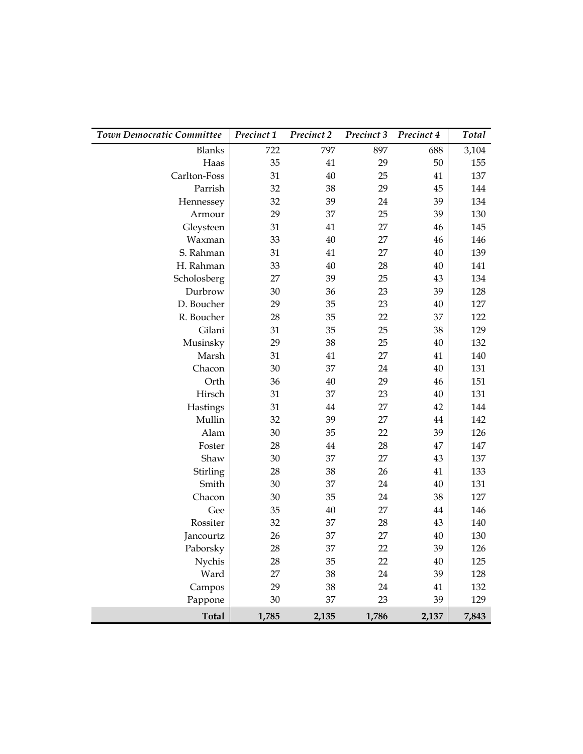| Town Democratic Committee | Precinct 1 | Precinct 2 | Precinct 3 | Precinct 4 | Total |
|---------------------------|------------|------------|------------|------------|-------|
| <b>Blanks</b>             | 722        | 797        | 897        | 688        | 3,104 |
| Haas                      | 35         | 41         | 29         | 50         | 155   |
| Carlton-Foss              | 31         | 40         | 25         | 41         | 137   |
| Parrish                   | 32         | 38         | 29         | 45         | 144   |
| Hennessey                 | 32         | 39         | 24         | 39         | 134   |
| Armour                    | 29         | 37         | 25         | 39         | 130   |
| Gleysteen                 | 31         | 41         | 27         | 46         | 145   |
| Waxman                    | 33         | 40         | 27         | 46         | 146   |
| S. Rahman                 | 31         | 41         | 27         | 40         | 139   |
| H. Rahman                 | 33         | 40         | 28         | 40         | 141   |
| Scholosberg               | 27         | 39         | 25         | 43         | 134   |
| Durbrow                   | 30         | 36         | 23         | 39         | 128   |
| D. Boucher                | 29         | 35         | 23         | 40         | 127   |
| R. Boucher                | 28         | 35         | 22         | 37         | 122   |
| Gilani                    | 31         | 35         | 25         | 38         | 129   |
| Musinsky                  | 29         | 38         | 25         | 40         | 132   |
| Marsh                     | 31         | 41         | 27         | 41         | 140   |
| Chacon                    | 30         | 37         | 24         | 40         | 131   |
| Orth                      | 36         | 40         | 29         | 46         | 151   |
| Hirsch                    | 31         | 37         | 23         | 40         | 131   |
| Hastings                  | 31         | $44\,$     | 27         | 42         | 144   |
| Mullin                    | 32         | 39         | 27         | 44         | 142   |
| Alam                      | 30         | 35         | 22         | 39         | 126   |
| Foster                    | 28         | $44\,$     | 28         | 47         | 147   |
| Shaw                      | 30         | 37         | 27         | 43         | 137   |
| Stirling                  | 28         | 38         | 26         | 41         | 133   |
| Smith                     | 30         | 37         | 24         | 40         | 131   |
| Chacon                    | 30         | 35         | 24         | 38         | 127   |
| Gee                       | 35         | 40         | 27         | 44         | 146   |
| Rossiter                  | 32         | 37         | 28         | 43         | 140   |
| Jancourtz                 | 26         | 37         | 27         | 40         | 130   |
| Paborsky                  | 28         | 37         | 22         | 39         | 126   |
| Nychis                    | 28         | 35         | 22         | 40         | 125   |
| Ward                      | 27         | 38         | 24         | 39         | 128   |
| Campos                    | 29         | 38         | 24         | 41         | 132   |
| Pappone                   | 30         | 37         | 23         | 39         | 129   |
| <b>Total</b>              | 1,785      | 2,135      | 1,786      | 2,137      | 7,843 |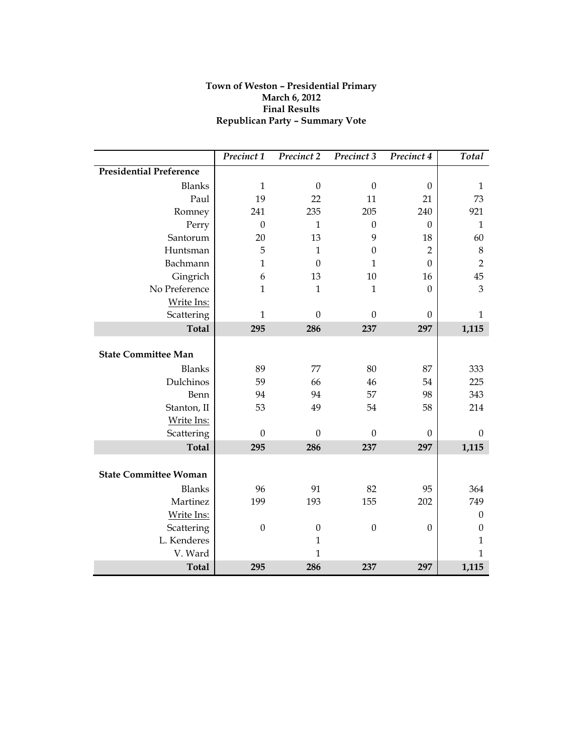# **Town of Weston – Presidential Primary March 6, 2012 Final Results Republican Party – Summary Vote**

|                                | Precinct 1       | Precinct 2       | Precinct 3   | Precinct 4       | Total            |
|--------------------------------|------------------|------------------|--------------|------------------|------------------|
| <b>Presidential Preference</b> |                  |                  |              |                  |                  |
| <b>Blanks</b>                  | $\mathbf{1}$     | $\boldsymbol{0}$ | $\mathbf{0}$ | $\theta$         | $\mathbf{1}$     |
| Paul                           | 19               | 22               | 11           | 21               | 73               |
| Romney                         | 241              | 235              | 205          | 240              | 921              |
| Perry                          | $\mathbf{0}$     | $\mathbf{1}$     | $\mathbf{0}$ | $\theta$         | $\mathbf{1}$     |
| Santorum                       | 20               | 13               | 9            | 18               | 60               |
| Huntsman                       | 5                | $\mathbf{1}$     | $\mathbf{0}$ | $\overline{2}$   | $\,8\,$          |
| Bachmann                       | $\mathbf{1}$     | $\boldsymbol{0}$ | $\mathbf{1}$ | $\theta$         | $\overline{2}$   |
| Gingrich                       | 6                | 13               | 10           | 16               | 45               |
| No Preference                  | $\mathbf{1}$     | $\mathbf{1}$     | $\mathbf{1}$ | $\boldsymbol{0}$ | 3                |
| Write Ins:                     |                  |                  |              |                  |                  |
| Scattering                     | $\mathbf{1}$     | $\mathbf{0}$     | $\Omega$     | $\theta$         | 1                |
| <b>Total</b>                   | 295              | 286              | 237          | 297              | 1,115            |
| <b>State Committee Man</b>     |                  |                  |              |                  |                  |
| <b>Blanks</b>                  | 89               | 77               | 80           | 87               | 333              |
| Dulchinos                      | 59               | 66               | 46           | 54               | 225              |
| Benn                           | 94               | 94               | 57           | 98               | 343              |
| Stanton, II                    | 53               | 49               | 54           | 58               | 214              |
| Write Ins:                     |                  |                  |              |                  |                  |
| Scattering                     | $\boldsymbol{0}$ | $\mathbf{0}$     | $\mathbf{0}$ | $\theta$         | $\boldsymbol{0}$ |
| <b>Total</b>                   | 295              | 286              | 237          | 297              | 1,115            |
| <b>State Committee Woman</b>   |                  |                  |              |                  |                  |
| <b>Blanks</b>                  | 96               | 91               | 82           | 95               | 364              |
| Martinez                       | 199              | 193              | 155          | 202              | 749              |
| Write Ins:                     |                  |                  |              |                  | $\boldsymbol{0}$ |
| Scattering                     | $\boldsymbol{0}$ | $\boldsymbol{0}$ | $\mathbf{0}$ | $\theta$         | $\boldsymbol{0}$ |
| L. Kenderes                    |                  | $\mathbf{1}$     |              |                  | $\mathbf{1}$     |
| V. Ward                        |                  | $\mathbf{1}$     |              |                  | 1                |
| <b>Total</b>                   | 295              | 286              | 237          | 297              | 1,115            |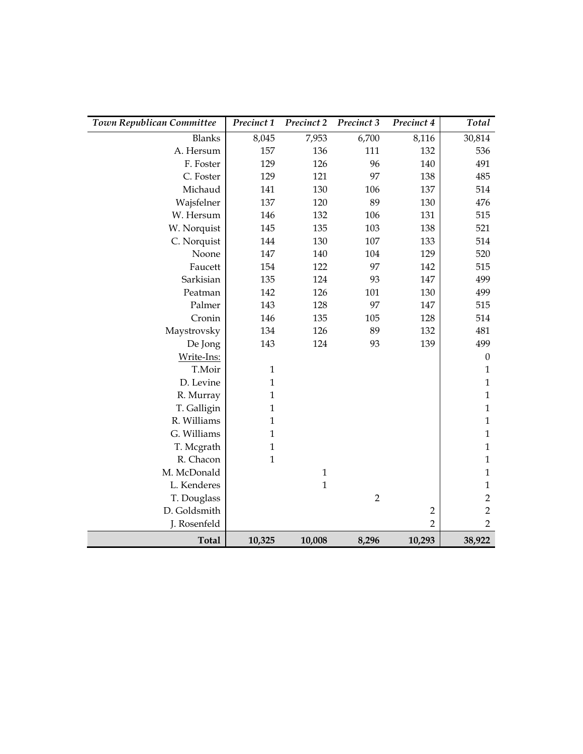| Town Republican Committee | Precinct 1   | Precinct 2   | Precinct 3     | Precinct 4     | Total            |
|---------------------------|--------------|--------------|----------------|----------------|------------------|
| <b>Blanks</b>             | 8,045        | 7,953        | 6,700          | 8,116          | 30,814           |
| A. Hersum                 | 157          | 136          | 111            | 132            | 536              |
| F. Foster                 | 129          | 126          | 96             | 140            | 491              |
| C. Foster                 | 129          | 121          | 97             | 138            | 485              |
| Michaud                   | 141          | 130          | 106            | 137            | 514              |
| Wajsfelner                | 137          | 120          | 89             | 130            | 476              |
| W. Hersum                 | 146          | 132          | 106            | 131            | 515              |
| W. Norquist               | 145          | 135          | 103            | 138            | 521              |
| C. Norquist               | 144          | 130          | 107            | 133            | 514              |
| Noone                     | 147          | 140          | 104            | 129            | 520              |
| Faucett                   | 154          | 122          | 97             | 142            | 515              |
| Sarkisian                 | 135          | 124          | 93             | 147            | 499              |
| Peatman                   | 142          | 126          | 101            | 130            | 499              |
| Palmer                    | 143          | 128          | 97             | 147            | 515              |
| Cronin                    | 146          | 135          | 105            | 128            | 514              |
| Maystrovsky               | 134          | 126          | 89             | 132            | 481              |
| De Jong                   | 143          | 124          | 93             | 139            | 499              |
| Write-Ins:                |              |              |                |                | $\boldsymbol{0}$ |
| T.Moir                    | $\mathbf{1}$ |              |                |                | $\mathbf{1}$     |
| D. Levine                 | $\mathbf{1}$ |              |                |                | $\mathbf 1$      |
| R. Murray                 | $\mathbf{1}$ |              |                |                | $\mathbf 1$      |
| T. Galligin               | $\mathbf{1}$ |              |                |                | $\mathbf 1$      |
| R. Williams               | $\mathbf{1}$ |              |                |                | $\mathbf{1}$     |
| G. Williams               | $\mathbf{1}$ |              |                |                | $\mathbf{1}$     |
| T. Mcgrath                | $\mathbf{1}$ |              |                |                | $\mathbf 1$      |
| R. Chacon                 | $\mathbf{1}$ |              |                |                | $\mathbf{1}$     |
| M. McDonald               |              | $\mathbf{1}$ |                |                | $\mathbf 1$      |
| L. Kenderes               |              | $\mathbf{1}$ |                |                | $\mathbf 1$      |
| T. Douglass               |              |              | $\overline{2}$ |                | $\sqrt{2}$       |
| D. Goldsmith              |              |              |                | $\overline{2}$ | $\overline{2}$   |
| J. Rosenfeld              |              |              |                | $\overline{2}$ | $\overline{2}$   |
| <b>Total</b>              | 10,325       | 10,008       | 8,296          | 10,293         | 38,922           |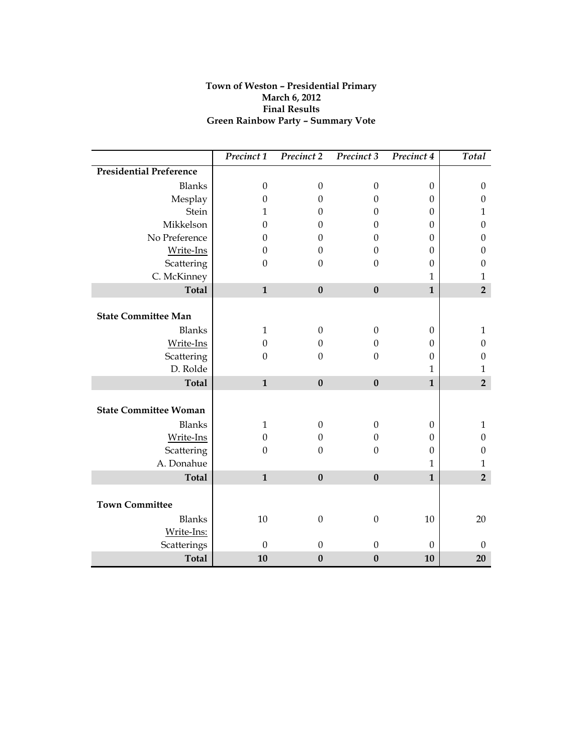# **Town of Weston – Presidential Primary March 6, 2012 Final Results Green Rainbow Party – Summary Vote**

|                                | Precinct 1       | Precinct 2       | Precinct 3       | Precinct 4       | Total            |
|--------------------------------|------------------|------------------|------------------|------------------|------------------|
| <b>Presidential Preference</b> |                  |                  |                  |                  |                  |
| <b>Blanks</b>                  | $\boldsymbol{0}$ | $\boldsymbol{0}$ | $\boldsymbol{0}$ | $\mathbf{0}$     | $\boldsymbol{0}$ |
| Mesplay                        | $\theta$         | $\boldsymbol{0}$ | $\mathbf{0}$     | $\boldsymbol{0}$ | $\boldsymbol{0}$ |
| Stein                          | 1                | $\Omega$         | $\boldsymbol{0}$ | $\boldsymbol{0}$ | $\mathbf{1}$     |
| Mikkelson                      | $\mathbf{0}$     | $\Omega$         | $\mathbf{0}$     | $\boldsymbol{0}$ | $\boldsymbol{0}$ |
| No Preference                  | $\boldsymbol{0}$ | $\boldsymbol{0}$ | $\boldsymbol{0}$ | $\boldsymbol{0}$ | $\boldsymbol{0}$ |
| Write-Ins                      | $\boldsymbol{0}$ | $\boldsymbol{0}$ | $\boldsymbol{0}$ | $\boldsymbol{0}$ | $\boldsymbol{0}$ |
| Scattering                     | $\boldsymbol{0}$ | $\boldsymbol{0}$ | $\mathbf{0}$     | $\boldsymbol{0}$ | $\boldsymbol{0}$ |
| C. McKinney                    |                  |                  |                  | $\mathbf{1}$     | $\mathbf{1}$     |
| <b>Total</b>                   | $\mathbf{1}$     | $\bf{0}$         | $\bf{0}$         | $\mathbf{1}$     | $\overline{2}$   |
|                                |                  |                  |                  |                  |                  |
| <b>State Committee Man</b>     |                  |                  |                  |                  |                  |
| <b>Blanks</b>                  | $\mathbf{1}$     | $\boldsymbol{0}$ | $\boldsymbol{0}$ | $\boldsymbol{0}$ | $\mathbf 1$      |
| Write-Ins                      | $\boldsymbol{0}$ | $\boldsymbol{0}$ | $\mathbf{0}$     | $\boldsymbol{0}$ | $\boldsymbol{0}$ |
| Scattering                     | $\theta$         | $\Omega$         | $\theta$         | $\Omega$         | $\boldsymbol{0}$ |
| D. Rolde                       |                  |                  |                  | 1                | $\mathbf{1}$     |
| <b>Total</b>                   | $\mathbf{1}$     | $\bf{0}$         | $\bf{0}$         | $\mathbf{1}$     | $\overline{2}$   |
| <b>State Committee Woman</b>   |                  |                  |                  |                  |                  |
|                                |                  |                  |                  |                  |                  |
| <b>Blanks</b>                  | $\mathbf{1}$     | $\boldsymbol{0}$ | $\boldsymbol{0}$ | $\theta$         | $\mathbf{1}$     |
| Write-Ins                      | $\boldsymbol{0}$ | $\Omega$         | $\mathbf{0}$     | $\boldsymbol{0}$ | $\boldsymbol{0}$ |
| Scattering                     | $\boldsymbol{0}$ | $\Omega$         | $\mathbf{0}$     | $\boldsymbol{0}$ | $\boldsymbol{0}$ |
| A. Donahue                     |                  |                  |                  | 1                | $\mathbf{1}$     |
| <b>Total</b>                   | $\mathbf{1}$     | $\bf{0}$         | $\bf{0}$         | $\mathbf{1}$     | $\overline{2}$   |
|                                |                  |                  |                  |                  |                  |
| <b>Town Committee</b>          |                  |                  |                  |                  |                  |
| <b>Blanks</b>                  | 10               | $\boldsymbol{0}$ | $\boldsymbol{0}$ | 10               | 20               |
| Write-Ins:                     |                  |                  |                  |                  |                  |
| Scatterings                    | $\boldsymbol{0}$ | $\boldsymbol{0}$ | $\boldsymbol{0}$ | $\boldsymbol{0}$ | $\boldsymbol{0}$ |
| <b>Total</b>                   | 10               | $\bf{0}$         | $\boldsymbol{0}$ | 10               | 20               |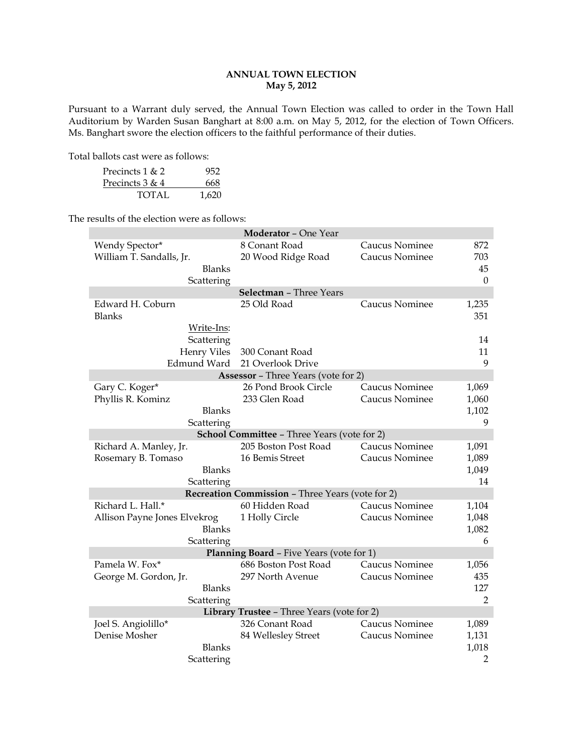# **ANNUAL TOWN ELECTION May 5, 2012**

Pursuant to a Warrant duly served, the Annual Town Election was called to order in the Town Hall Auditorium by Warden Susan Banghart at 8:00 a.m. on May 5, 2012, for the election of Town Officers. Ms. Banghart swore the election officers to the faithful performance of their duties.

Total ballots cast were as follows:

| Precincts $1 & 2$ | 952   |
|-------------------|-------|
| Precincts 3 & 4   | 668   |
| TOTAL             | 1.620 |

The results of the election were as follows:

|                              | <b>Moderator - One Year</b>                             |                |                |
|------------------------------|---------------------------------------------------------|----------------|----------------|
| Wendy Spector*               | 8 Conant Road                                           | Caucus Nominee | 872            |
| William T. Sandalls, Jr.     | 20 Wood Ridge Road                                      | Caucus Nominee | 703            |
| <b>Blanks</b>                |                                                         |                | 45             |
| Scattering                   |                                                         |                | $\mathbf{0}$   |
|                              | Selectman - Three Years                                 |                |                |
| Edward H. Coburn             | 25 Old Road                                             | Caucus Nominee | 1,235          |
| <b>Blanks</b>                |                                                         |                | 351            |
| Write-Ins:                   |                                                         |                |                |
| Scattering                   |                                                         |                | 14             |
| <b>Henry Viles</b>           | 300 Conant Road                                         |                | 11             |
| Edmund Ward                  | 21 Overlook Drive                                       |                | 9              |
|                              | <b>Assessor</b> - Three Years (vote for 2)              |                |                |
| Gary C. Koger*               | 26 Pond Brook Circle                                    | Caucus Nominee | 1,069          |
| Phyllis R. Kominz            | 233 Glen Road                                           | Caucus Nominee | 1,060          |
| <b>Blanks</b>                |                                                         |                | 1,102          |
| Scattering                   |                                                         |                | 9              |
|                              | <b>School Committee - Three Years (vote for 2)</b>      |                |                |
| Richard A. Manley, Jr.       | 205 Boston Post Road                                    | Caucus Nominee | 1,091          |
| Rosemary B. Tomaso           | 16 Bemis Street                                         | Caucus Nominee | 1,089          |
| <b>Blanks</b>                |                                                         |                | 1,049          |
| Scattering                   |                                                         |                | 14             |
|                              | <b>Recreation Commission - Three Years (vote for 2)</b> |                |                |
| Richard L. Hall.*            | 60 Hidden Road                                          | Caucus Nominee | 1,104          |
| Allison Payne Jones Elvekrog | 1 Holly Circle                                          | Caucus Nominee | 1,048          |
| <b>Blanks</b>                |                                                         |                | 1,082          |
| Scattering                   |                                                         |                | 6              |
|                              | Planning Board - Five Years (vote for 1)                |                |                |
| Pamela W. Fox*               | 686 Boston Post Road                                    | Caucus Nominee | 1,056          |
| George M. Gordon, Jr.        | 297 North Avenue                                        | Caucus Nominee | 435            |
| <b>Blanks</b>                |                                                         |                | 127            |
| Scattering                   |                                                         |                | 2              |
|                              | Library Trustee - Three Years (vote for 2)              |                |                |
| Joel S. Angiolillo*          | 326 Conant Road                                         | Caucus Nominee | 1,089          |
| Denise Mosher                | 84 Wellesley Street                                     | Caucus Nominee | 1,131          |
| <b>Blanks</b>                |                                                         |                | 1,018          |
| Scattering                   |                                                         |                | $\overline{2}$ |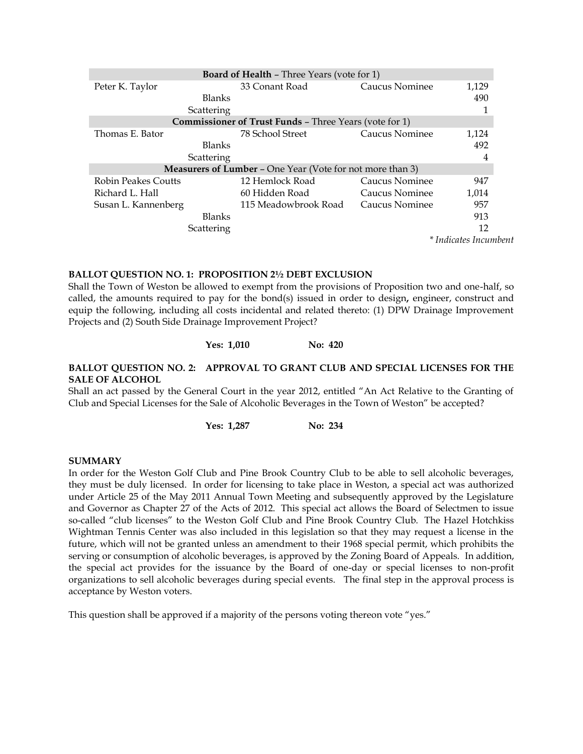|                            | <b>Board of Health - Three Years (vote for 1)</b>                |                |                       |
|----------------------------|------------------------------------------------------------------|----------------|-----------------------|
| Peter K. Taylor            | 33 Conant Road                                                   | Caucus Nominee | 1,129                 |
| <b>Blanks</b>              |                                                                  |                | 490                   |
| Scattering                 |                                                                  |                |                       |
|                            | <b>Commissioner of Trust Funds - Three Years (vote for 1)</b>    |                |                       |
| Thomas E. Bator            | 78 School Street                                                 | Caucus Nominee | 1,124                 |
| <b>Blanks</b>              |                                                                  |                | 492                   |
| Scattering                 |                                                                  |                | 4                     |
|                            | <b>Measurers of Lumber - One Year (Vote for not more than 3)</b> |                |                       |
| <b>Robin Peakes Coutts</b> | 12 Hemlock Road                                                  | Caucus Nominee | 947                   |
| Richard L. Hall            | 60 Hidden Road                                                   | Caucus Nominee | 1,014                 |
| Susan L. Kannenberg        | 115 Meadowbrook Road                                             | Caucus Nominee | 957                   |
| <b>Blanks</b>              |                                                                  |                | 913                   |
| Scattering                 |                                                                  |                | 12                    |
|                            |                                                                  |                | * Indicates Incumbent |

#### **BALLOT QUESTION NO. 1: PROPOSITION 2½ DEBT EXCLUSION**

Shall the Town of Weston be allowed to exempt from the provisions of Proposition two and one-half, so called, the amounts required to pay for the bond(s) issued in order to design**,** engineer, construct and equip the following, including all costs incidental and related thereto: (1) DPW Drainage Improvement Projects and (2) South Side Drainage Improvement Project?

# **Yes: 1,010 No: 420**

# **BALLOT QUESTION NO. 2: APPROVAL TO GRANT CLUB AND SPECIAL LICENSES FOR THE SALE OF ALCOHOL**

Shall an act passed by the General Court in the year 2012, entitled "An Act Relative to the Granting of Club and Special Licenses for the Sale of Alcoholic Beverages in the Town of Weston" be accepted?

**Yes: 1,287 No: 234**

#### **SUMMARY**

In order for the Weston Golf Club and Pine Brook Country Club to be able to sell alcoholic beverages, they must be duly licensed. In order for licensing to take place in Weston, a special act was authorized under Article 25 of the May 2011 Annual Town Meeting and subsequently approved by the Legislature and Governor as Chapter 27 of the Acts of 2012. This special act allows the Board of Selectmen to issue so-called "club licenses" to the Weston Golf Club and Pine Brook Country Club. The Hazel Hotchkiss Wightman Tennis Center was also included in this legislation so that they may request a license in the future, which will not be granted unless an amendment to their 1968 special permit, which prohibits the serving or consumption of alcoholic beverages, is approved by the Zoning Board of Appeals. In addition, the special act provides for the issuance by the Board of one-day or special licenses to non-profit organizations to sell alcoholic beverages during special events. The final step in the approval process is acceptance by Weston voters.

This question shall be approved if a majority of the persons voting thereon vote "yes."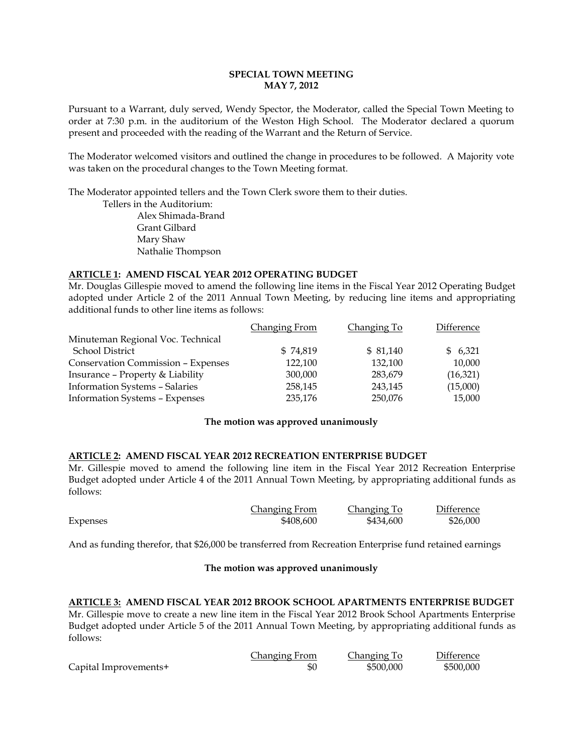# **SPECIAL TOWN MEETING MAY 7, 2012**

Pursuant to a Warrant, duly served, Wendy Spector, the Moderator, called the Special Town Meeting to order at 7:30 p.m. in the auditorium of the Weston High School. The Moderator declared a quorum present and proceeded with the reading of the Warrant and the Return of Service.

The Moderator welcomed visitors and outlined the change in procedures to be followed. A Majority vote was taken on the procedural changes to the Town Meeting format.

The Moderator appointed tellers and the Town Clerk swore them to their duties.

Tellers in the Auditorium: Alex Shimada-Brand Grant Gilbard Mary Shaw Nathalie Thompson

# **ARTICLE 1: AMEND FISCAL YEAR 2012 OPERATING BUDGET**

Mr. Douglas Gillespie moved to amend the following line items in the Fiscal Year 2012 Operating Budget adopted under Article 2 of the 2011 Annual Town Meeting, by reducing line items and appropriating additional funds to other line items as follows:

|                                           | <b>Changing From</b> | Changing To | Difference |
|-------------------------------------------|----------------------|-------------|------------|
| Minuteman Regional Voc. Technical         |                      |             |            |
| School District                           | \$74,819             | \$81,140    | \$6,321    |
| <b>Conservation Commission - Expenses</b> | 122,100              | 132,100     | 10,000     |
| Insurance - Property & Liability          | 300,000              | 283,679     | (16,321)   |
| Information Systems - Salaries            | 258,145              | 243,145     | (15,000)   |
| <b>Information Systems - Expenses</b>     | 235,176              | 250,076     | 15,000     |

# **The motion was approved unanimously**

# **ARTICLE 2: AMEND FISCAL YEAR 2012 RECREATION ENTERPRISE BUDGET**

Mr. Gillespie moved to amend the following line item in the Fiscal Year 2012 Recreation Enterprise Budget adopted under Article 4 of the 2011 Annual Town Meeting, by appropriating additional funds as follows:

|          | Changing From | Changing To | Difference |
|----------|---------------|-------------|------------|
| Expenses | \$408,600     | \$434,600   | \$26,000   |

And as funding therefor, that \$26,000 be transferred from Recreation Enterprise fund retained earnings

# **The motion was approved unanimously**

**ARTICLE 3: AMEND FISCAL YEAR 2012 BROOK SCHOOL APARTMENTS ENTERPRISE BUDGET** Mr. Gillespie move to create a new line item in the Fiscal Year 2012 Brook School Apartments Enterprise Budget adopted under Article 5 of the 2011 Annual Town Meeting, by appropriating additional funds as follows:

|                       | Changing From | Changing To | Difference |
|-----------------------|---------------|-------------|------------|
| Capital Improvements+ | \$0           | \$500,000   | \$500,000  |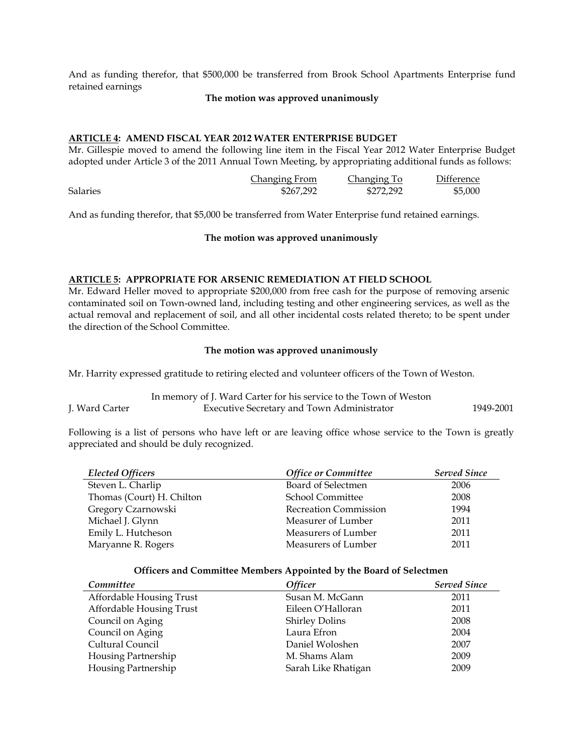And as funding therefor, that \$500,000 be transferred from Brook School Apartments Enterprise fund retained earnings

#### **The motion was approved unanimously**

# **ARTICLE 4: AMEND FISCAL YEAR 2012 WATER ENTERPRISE BUDGET**

Mr. Gillespie moved to amend the following line item in the Fiscal Year 2012 Water Enterprise Budget adopted under Article 3 of the 2011 Annual Town Meeting, by appropriating additional funds as follows:

|                 | Changing From | Changing To | Difference |
|-----------------|---------------|-------------|------------|
| <b>Salaries</b> | \$267.292     | \$272,292   | \$5,000    |

And as funding therefor, that \$5,000 be transferred from Water Enterprise fund retained earnings.

#### **The motion was approved unanimously**

# **ARTICLE 5: APPROPRIATE FOR ARSENIC REMEDIATION AT FIELD SCHOOL**

Mr. Edward Heller moved to appropriate \$200,000 from free cash for the purpose of removing arsenic contaminated soil on Town-owned land, including testing and other engineering services, as well as the actual removal and replacement of soil, and all other incidental costs related thereto; to be spent under the direction of the School Committee.

#### **The motion was approved unanimously**

Mr. Harrity expressed gratitude to retiring elected and volunteer officers of the Town of Weston.

|                | In memory of J. Ward Carter for his service to the Town of Weston |           |
|----------------|-------------------------------------------------------------------|-----------|
| J. Ward Carter | <b>Executive Secretary and Town Administrator</b>                 | 1949-2001 |

Following is a list of persons who have left or are leaving office whose service to the Town is greatly appreciated and should be duly recognized.

| <b>Elected Officers</b>   | <b>Office or Committee</b>   | <b>Served Since</b> |
|---------------------------|------------------------------|---------------------|
| Steven L. Charlip         | Board of Selectmen           | 2006                |
| Thomas (Court) H. Chilton | <b>School Committee</b>      | 2008                |
| Gregory Czarnowski        | <b>Recreation Commission</b> | 1994                |
| Michael J. Glynn          | Measurer of Lumber           | 2011                |
| Emily L. Hutcheson        | Measurers of Lumber          | 2011                |
| Maryanne R. Rogers        | Measurers of Lumber          | 2011                |

#### **Officers and Committee Members Appointed by the Board of Selectmen**

| Committee                | <b>Officer</b>        | <b>Served Since</b> |
|--------------------------|-----------------------|---------------------|
| Affordable Housing Trust | Susan M. McGann       | 2011                |
| Affordable Housing Trust | Eileen O'Halloran     | 2011                |
| Council on Aging         | <b>Shirley Dolins</b> | 2008                |
| Council on Aging         | Laura Efron           | 2004                |
| Cultural Council         | Daniel Woloshen       | 2007                |
| Housing Partnership      | M. Shams Alam         | 2009                |
| Housing Partnership      | Sarah Like Rhatigan   | 2009                |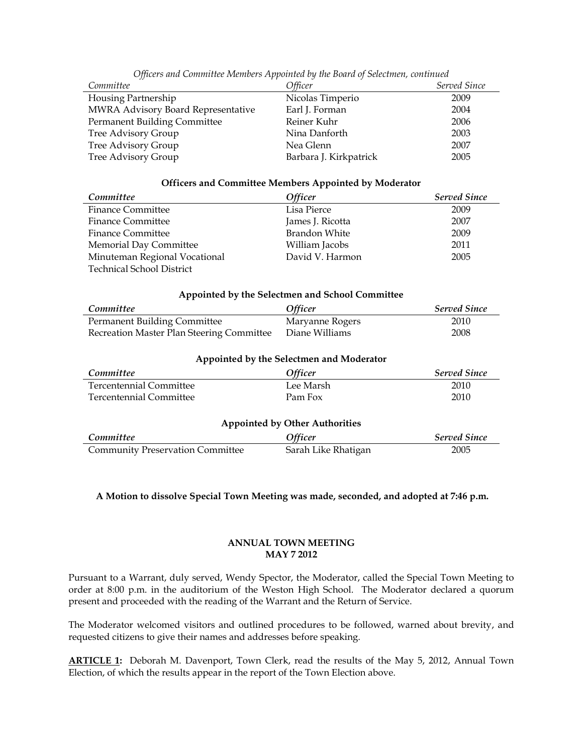| Committee                          | Officer                | Served Since |
|------------------------------------|------------------------|--------------|
| Housing Partnership                | Nicolas Timperio       | 2009         |
| MWRA Advisory Board Representative | Earl J. Forman         | 2004         |
| Permanent Building Committee       | Reiner Kuhr            | 2006         |
| Tree Advisory Group                | Nina Danforth          | 2003         |
| Tree Advisory Group                | Nea Glenn              | 2007         |
| Tree Advisory Group                | Barbara J. Kirkpatrick | 2005         |

*Officers and Committee Members Appointed by the Board of Selectmen, continued*

#### **Officers and Committee Members Appointed by Moderator**

| Committee                     | <b>Officer</b>       | <b>Served Since</b> |
|-------------------------------|----------------------|---------------------|
| <b>Finance Committee</b>      | Lisa Pierce          | 2009                |
| <b>Finance Committee</b>      | James J. Ricotta     | 2007                |
| <b>Finance Committee</b>      | <b>Brandon White</b> | 2009                |
| Memorial Day Committee        | William Jacobs       | 2011                |
| Minuteman Regional Vocational | David V. Harmon      | 2005                |
| Technical School District     |                      |                     |

#### **Appointed by the Selectmen and School Committee**

| Committee                                 | <i><b>Officer</b></i> | <b>Served Since</b> |
|-------------------------------------------|-----------------------|---------------------|
| <b>Permanent Building Committee</b>       | Maryanne Rogers       | 2010                |
| Recreation Master Plan Steering Committee | Diane Williams        | 2008                |

|  |  | <b>Appointed by the Selectmen and Moderator</b> |  |  |
|--|--|-------------------------------------------------|--|--|
|  |  |                                                 |  |  |

| Committee                               | Officer             | <b>Served Since</b> |  |  |  |
|-----------------------------------------|---------------------|---------------------|--|--|--|
| <b>Tercentennial Committee</b>          | Lee Marsh           | 2010                |  |  |  |
| <b>Tercentennial Committee</b>          | Pam Fox             | 2010                |  |  |  |
| <b>Appointed by Other Authorities</b>   |                     |                     |  |  |  |
| Committee                               | Officer             | <b>Served Since</b> |  |  |  |
| <b>Community Preservation Committee</b> | Sarah Like Rhatigan | 2005                |  |  |  |

# **A Motion to dissolve Special Town Meeting was made, seconded, and adopted at 7:46 p.m.**

# **ANNUAL TOWN MEETING MAY 7 2012**

Pursuant to a Warrant, duly served, Wendy Spector, the Moderator, called the Special Town Meeting to order at 8:00 p.m. in the auditorium of the Weston High School. The Moderator declared a quorum present and proceeded with the reading of the Warrant and the Return of Service.

The Moderator welcomed visitors and outlined procedures to be followed, warned about brevity, and requested citizens to give their names and addresses before speaking.

**ARTICLE 1:** Deborah M. Davenport, Town Clerk, read the results of the May 5, 2012, Annual Town Election, of which the results appear in the report of the Town Election above.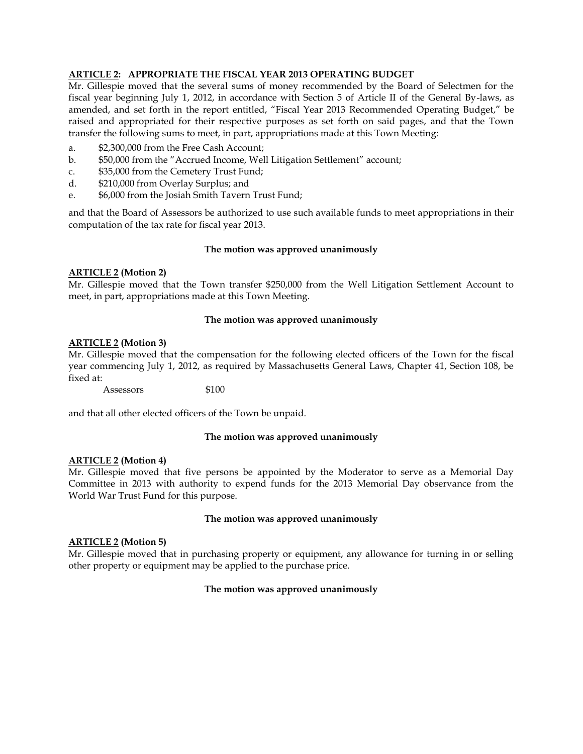# **ARTICLE 2: APPROPRIATE THE FISCAL YEAR 2013 OPERATING BUDGET**

Mr. Gillespie moved that the several sums of money recommended by the Board of Selectmen for the fiscal year beginning July 1, 2012, in accordance with Section 5 of Article II of the General By-laws, as amended, and set forth in the report entitled, "Fiscal Year 2013 Recommended Operating Budget," be raised and appropriated for their respective purposes as set forth on said pages, and that the Town transfer the following sums to meet, in part, appropriations made at this Town Meeting:

- a. \$2,300,000 from the Free Cash Account;
- b. \$50,000 from the "Accrued Income, Well Litigation Settlement" account;
- c. \$35,000 from the Cemetery Trust Fund;
- d. \$210,000 from Overlay Surplus; and
- e. \$6,000 from the Josiah Smith Tavern Trust Fund;

and that the Board of Assessors be authorized to use such available funds to meet appropriations in their computation of the tax rate for fiscal year 2013.

# **The motion was approved unanimously**

# **ARTICLE 2 (Motion 2)**

Mr. Gillespie moved that the Town transfer \$250,000 from the Well Litigation Settlement Account to meet, in part, appropriations made at this Town Meeting.

# **The motion was approved unanimously**

# **ARTICLE 2 (Motion 3)**

Mr. Gillespie moved that the compensation for the following elected officers of the Town for the fiscal year commencing July 1, 2012, as required by Massachusetts General Laws, Chapter 41, Section 108, be fixed at:

Assessors \$100

and that all other elected officers of the Town be unpaid.

# **The motion was approved unanimously**

# **ARTICLE 2 (Motion 4)**

Mr. Gillespie moved that five persons be appointed by the Moderator to serve as a Memorial Day Committee in 2013 with authority to expend funds for the 2013 Memorial Day observance from the World War Trust Fund for this purpose.

# **The motion was approved unanimously**

# **ARTICLE 2 (Motion 5)**

Mr. Gillespie moved that in purchasing property or equipment, any allowance for turning in or selling other property or equipment may be applied to the purchase price.

# **The motion was approved unanimously**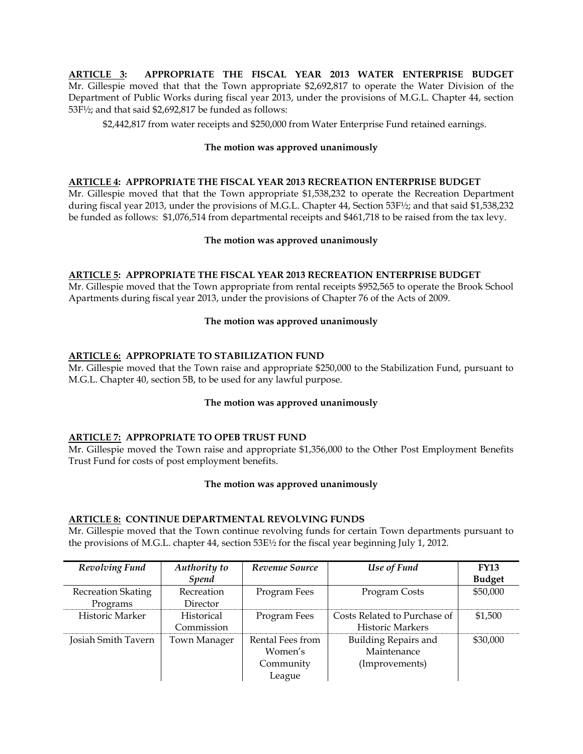**ARTICLE 3: APPROPRIATE THE FISCAL YEAR 2013 WATER ENTERPRISE BUDGET** Mr. Gillespie moved that that the Town appropriate \$2,692,817 to operate the Water Division of the Department of Public Works during fiscal year 2013, under the provisions of M.G.L. Chapter 44, section 53F½; and that said \$2,692,817 be funded as follows:

\$2,442,817 from water receipts and \$250,000 from Water Enterprise Fund retained earnings.

# **The motion was approved unanimously**

# **ARTICLE 4: APPROPRIATE THE FISCAL YEAR 2013 RECREATION ENTERPRISE BUDGET**

Mr. Gillespie moved that that the Town appropriate \$1,538,232 to operate the Recreation Department during fiscal year 2013, under the provisions of M.G.L. Chapter 44, Section 53F½; and that said \$1,538,232 be funded as follows: \$1,076,514 from departmental receipts and \$461,718 to be raised from the tax levy.

#### **The motion was approved unanimously**

# **ARTICLE 5: APPROPRIATE THE FISCAL YEAR 2013 RECREATION ENTERPRISE BUDGET**

Mr. Gillespie moved that the Town appropriate from rental receipts \$952,565 to operate the Brook School Apartments during fiscal year 2013, under the provisions of Chapter 76 of the Acts of 2009.

#### **The motion was approved unanimously**

# **ARTICLE 6: APPROPRIATE TO STABILIZATION FUND**

Mr. Gillespie moved that the Town raise and appropriate \$250,000 to the Stabilization Fund, pursuant to M.G.L. Chapter 40, section 5B, to be used for any lawful purpose.

#### **The motion was approved unanimously**

#### **ARTICLE 7: APPROPRIATE TO OPEB TRUST FUND**

Mr. Gillespie moved the Town raise and appropriate \$1,356,000 to the Other Post Employment Benefits Trust Fund for costs of post employment benefits.

#### **The motion was approved unanimously**

#### **ARTICLE 8: CONTINUE DEPARTMENTAL REVOLVING FUNDS**

Mr. Gillespie moved that the Town continue revolving funds for certain Town departments pursuant to the provisions of M.G.L. chapter 44, section 53E½ for the fiscal year beginning July 1, 2012.

| Revolving Fund            | Authority to      | Revenue Source   | Use of Fund                  | <b>FY13</b>   |
|---------------------------|-------------------|------------------|------------------------------|---------------|
|                           | <b>Spend</b>      |                  |                              | <b>Budget</b> |
| <b>Recreation Skating</b> | Recreation        | Program Fees     | Program Costs                | \$50,000      |
| Programs                  | Director          |                  |                              |               |
| Historic Marker           | <b>Historical</b> | Program Fees     | Costs Related to Purchase of | \$1,500       |
|                           | Commission        |                  | <b>Historic Markers</b>      |               |
| Josiah Smith Tavern       | Town Manager      | Rental Fees from | Building Repairs and         | \$30,000      |
|                           |                   | Women's          | Maintenance                  |               |
|                           |                   | Community        | (Improvements)               |               |
|                           |                   | League           |                              |               |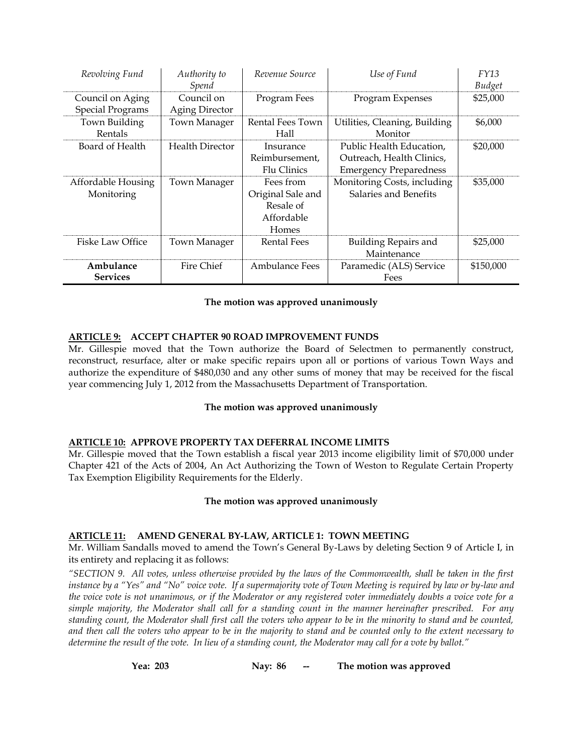| Revolving Fund          | Authority to<br>Spend  | Revenue Source     | Use of Fund                   | FY13<br>Budget |
|-------------------------|------------------------|--------------------|-------------------------------|----------------|
| Council on Aging        | Council on             | Program Fees       | Program Expenses              | \$25,000       |
| <b>Special Programs</b> | <b>Aging Director</b>  |                    |                               |                |
| Town Building           | Town Manager           | Rental Fees Town   | Utilities, Cleaning, Building | \$6,000        |
| Rentals                 |                        | Hall               | Monitor                       |                |
| Board of Health         | <b>Health Director</b> | Insurance          | Public Health Education,      | \$20,000       |
|                         |                        | Reimbursement,     | Outreach, Health Clinics,     |                |
|                         |                        | Flu Clinics        | <b>Emergency Preparedness</b> |                |
| Affordable Housing      | Town Manager           | Fees from          | Monitoring Costs, including   | \$35,000       |
| Monitoring              |                        | Original Sale and  | Salaries and Benefits         |                |
|                         |                        | Resale of          |                               |                |
|                         |                        | Affordable         |                               |                |
|                         |                        | Homes              |                               |                |
| <b>Fiske Law Office</b> | Town Manager           | <b>Rental Fees</b> | Building Repairs and          | \$25,000       |
|                         |                        |                    | Maintenance                   |                |
| Ambulance               | Fire Chief             | Ambulance Fees     | Paramedic (ALS) Service       | \$150,000      |
| <b>Services</b>         |                        |                    | Fees                          |                |

# **The motion was approved unanimously**

# **ARTICLE 9: ACCEPT CHAPTER 90 ROAD IMPROVEMENT FUNDS**

Mr. Gillespie moved that the Town authorize the Board of Selectmen to permanently construct, reconstruct, resurface, alter or make specific repairs upon all or portions of various Town Ways and authorize the expenditure of \$480,030 and any other sums of money that may be received for the fiscal year commencing July 1, 2012 from the Massachusetts Department of Transportation.

# **The motion was approved unanimously**

# **ARTICLE 10: APPROVE PROPERTY TAX DEFERRAL INCOME LIMITS**

Mr. Gillespie moved that the Town establish a fiscal year 2013 income eligibility limit of \$70,000 under Chapter 421 of the Acts of 2004, An Act Authorizing the Town of Weston to Regulate Certain Property Tax Exemption Eligibility Requirements for the Elderly.

# **The motion was approved unanimously**

# **ARTICLE 11: AMEND GENERAL BY-LAW, ARTICLE 1: TOWN MEETING**

Mr. William Sandalls moved to amend the Town's General By-Laws by deleting Section 9 of Article I, in its entirety and replacing it as follows:

*"SECTION 9. All votes, unless otherwise provided by the laws of the Commonwealth, shall be taken in the first instance by a "Yes" and "No" voice vote. If a supermajority vote of Town Meeting is required by law or by-law and the voice vote is not unanimous, or if the Moderator or any registered voter immediately doubts a voice vote for a simple majority, the Moderator shall call for a standing count in the manner hereinafter prescribed. For any standing count, the Moderator shall first call the voters who appear to be in the minority to stand and be counted, and then call the voters who appear to be in the majority to stand and be counted only to the extent necessary to determine the result of the vote. In lieu of a standing count, the Moderator may call for a vote by ballot."*

**Yea: 203 Nay: 86 -- The motion was approved**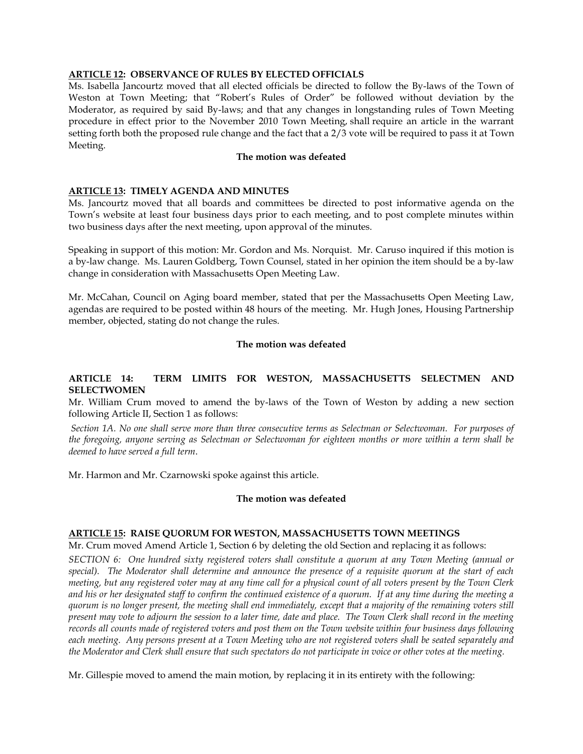# **ARTICLE 12: OBSERVANCE OF RULES BY ELECTED OFFICIALS**

Ms. Isabella Jancourtz moved that all elected officials be directed to follow the By-laws of the Town of Weston at Town Meeting; that "Robert's Rules of Order" be followed without deviation by the Moderator, as required by said By-laws; and that any changes in longstanding rules of Town Meeting procedure in effect prior to the November 2010 Town Meeting, shall require an article in the warrant setting forth both the proposed rule change and the fact that a 2/3 vote will be required to pass it at Town Meeting.

#### **The motion was defeated**

#### **ARTICLE 13: TIMELY AGENDA AND MINUTES**

Ms. Jancourtz moved that all boards and committees be directed to post informative agenda on the Town's website at least four business days prior to each meeting, and to post complete minutes within two business days after the next meeting, upon approval of the minutes.

Speaking in support of this motion: Mr. Gordon and Ms. Norquist. Mr. Caruso inquired if this motion is a by-law change. Ms. Lauren Goldberg, Town Counsel, stated in her opinion the item should be a by-law change in consideration with Massachusetts Open Meeting Law.

Mr. McCahan, Council on Aging board member, stated that per the Massachusetts Open Meeting Law, agendas are required to be posted within 48 hours of the meeting. Mr. Hugh Jones, Housing Partnership member, objected, stating do not change the rules.

#### **The motion was defeated**

# **ARTICLE 14: TERM LIMITS FOR WESTON, MASSACHUSETTS SELECTMEN AND SELECTWOMEN**

Mr. William Crum moved to amend the by-laws of the Town of Weston by adding a new section following Article II, Section 1 as follows:

*Section 1A. No one shall serve more than three consecutive terms as Selectman or Selectwoman. For purposes of the foregoing, anyone serving as Selectman or Selectwoman for eighteen months or more within a term shall be deemed to have served a full term*.

Mr. Harmon and Mr. Czarnowski spoke against this article.

#### **The motion was defeated**

# **ARTICLE 15: RAISE QUORUM FOR WESTON, MASSACHUSETTS TOWN MEETINGS**

Mr. Crum moved Amend Article 1, Section 6 by deleting the old Section and replacing it as follows:

*SECTION 6: One hundred sixty registered voters shall constitute a quorum at any Town Meeting (annual or special). The Moderator shall determine and announce the presence of a requisite quorum at the start of each meeting, but any registered voter may at any time call for a physical count of all voters present by the Town Clerk and his or her designated staff to confirm the continued existence of a quorum. If at any time during the meeting a quorum is no longer present, the meeting shall end immediately, except that a majority of the remaining voters still present may vote to adjourn the session to a later time, date and place. The Town Clerk shall record in the meeting records all counts made of registered voters and post them on the Town website within four business days following each meeting. Any persons present at a Town Meeting who are not registered voters shall be seated separately and the Moderator and Clerk shall ensure that such spectators do not participate in voice or other votes at the meeting.*

Mr. Gillespie moved to amend the main motion, by replacing it in its entirety with the following: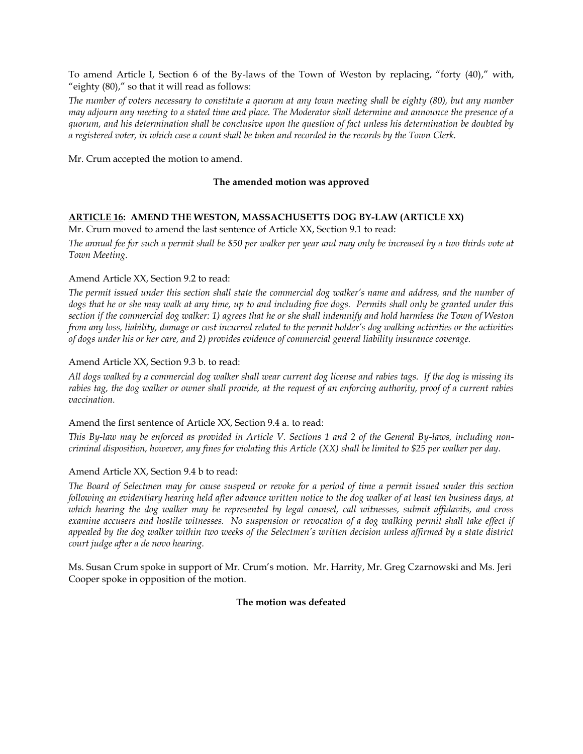To amend Article I, Section 6 of the By-laws of the Town of Weston by replacing, "forty (40)," with, "eighty (80)," so that it will read as follows:

*The number of voters necessary to constitute a quorum at any town meeting shall be eighty (80), but any number may adjourn any meeting to a stated time and place. The Moderator shall determine and announce the presence of a quorum, and his determination shall be conclusive upon the question of fact unless his determination be doubted by a registered voter, in which case a count shall be taken and recorded in the records by the Town Clerk.*

Mr. Crum accepted the motion to amend.

# **The amended motion was approved**

# **ARTICLE 16: AMEND THE WESTON, MASSACHUSETTS DOG BY-LAW (ARTICLE XX)**

Mr. Crum moved to amend the last sentence of Article XX, Section 9.1 to read:

*The annual fee for such a permit shall be \$50 per walker per year and may only be increased by a two thirds vote at Town Meeting.*

# Amend Article XX, Section 9.2 to read:

*The permit issued under this section shall state the commercial dog walker's name and address, and the number of dogs that he or she may walk at any time, up to and including five dogs. Permits shall only be granted under this section if the commercial dog walker: 1) agrees that he or she shall indemnify and hold harmless the Town of Weston from any loss, liability, damage or cost incurred related to the permit holder's dog walking activities or the activities of dogs under his or her care, and 2) provides evidence of commercial general liability insurance coverage.*

# Amend Article XX, Section 9.3 b. to read:

*All dogs walked by a commercial dog walker shall wear current dog license and rabies tags. If the dog is missing its rabies tag, the dog walker or owner shall provide, at the request of an enforcing authority, proof of a current rabies vaccination.*

# Amend the first sentence of Article XX, Section 9.4 a. to read:

*This By-law may be enforced as provided in Article V. Sections 1 and 2 of the General By-laws, including noncriminal disposition, however, any fines for violating this Article (XX) shall be limited to \$25 per walker per day.*

# Amend Article XX, Section 9.4 b to read:

*The Board of Selectmen may for cause suspend or revoke for a period of time a permit issued under this section following an evidentiary hearing held after advance written notice to the dog walker of at least ten business days, at which hearing the dog walker may be represented by legal counsel, call witnesses, submit affidavits, and cross examine accusers and hostile witnesses. No suspension or revocation of a dog walking permit shall take effect if appealed by the dog walker within two weeks of the Selectmen's written decision unless affirmed by a state district court judge after a de novo hearing.*

Ms. Susan Crum spoke in support of Mr. Crum's motion. Mr. Harrity, Mr. Greg Czarnowski and Ms. Jeri Cooper spoke in opposition of the motion.

# **The motion was defeated**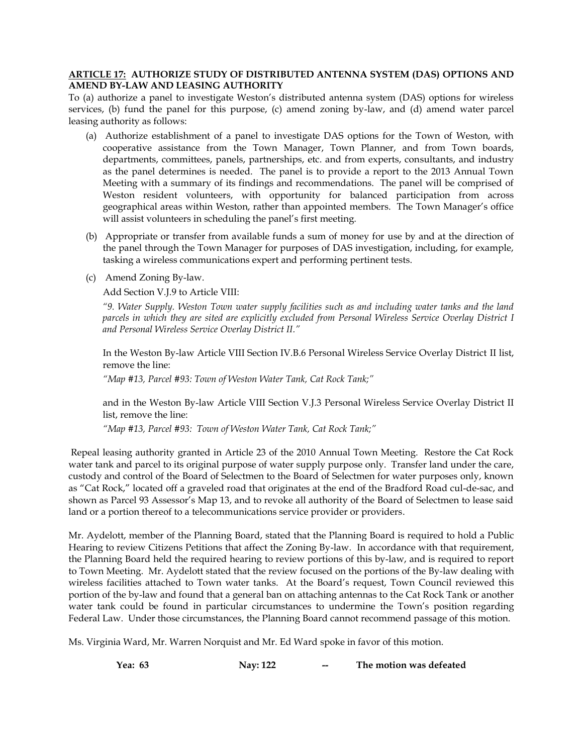# **ARTICLE 17: AUTHORIZE STUDY OF DISTRIBUTED ANTENNA SYSTEM (DAS) OPTIONS AND AMEND BY-LAW AND LEASING AUTHORITY**

To (a) authorize a panel to investigate Weston's distributed antenna system (DAS) options for wireless services, (b) fund the panel for this purpose, (c) amend zoning by-law, and (d) amend water parcel leasing authority as follows:

- (a) Authorize establishment of a panel to investigate DAS options for the Town of Weston, with cooperative assistance from the Town Manager, Town Planner, and from Town boards, departments, committees, panels, partnerships, etc. and from experts, consultants, and industry as the panel determines is needed. The panel is to provide a report to the 2013 Annual Town Meeting with a summary of its findings and recommendations. The panel will be comprised of Weston resident volunteers, with opportunity for balanced participation from across geographical areas within Weston, rather than appointed members. The Town Manager's office will assist volunteers in scheduling the panel's first meeting.
- (b) Appropriate or transfer from available funds a sum of money for use by and at the direction of the panel through the Town Manager for purposes of DAS investigation, including, for example, tasking a wireless communications expert and performing pertinent tests.
- (c) Amend Zoning By-law.

Add Section V.J.9 to Article VIII:

*"9. Water Supply. Weston Town water supply facilities such as and including water tanks and the land parcels in which they are sited are explicitly excluded from Personal Wireless Service Overlay District I and Personal Wireless Service Overlay District II."*

In the Weston By-law Article VIII Section IV.B.6 Personal Wireless Service Overlay District II list, remove the line:

*"Map #13, Parcel #93: Town of Weston Water Tank, Cat Rock Tank;"*

and in the Weston By-law Article VIII Section V.J.3 Personal Wireless Service Overlay District II list, remove the line:

*"Map #13, Parcel #93: Town of Weston Water Tank, Cat Rock Tank;"*

Repeal leasing authority granted in Article 23 of the 2010 Annual Town Meeting. Restore the Cat Rock water tank and parcel to its original purpose of water supply purpose only. Transfer land under the care, custody and control of the Board of Selectmen to the Board of Selectmen for water purposes only, known as "Cat Rock," located off a graveled road that originates at the end of the Bradford Road cul-de-sac, and shown as Parcel 93 Assessor's Map 13, and to revoke all authority of the Board of Selectmen to lease said land or a portion thereof to a telecommunications service provider or providers.

Mr. Aydelott, member of the Planning Board, stated that the Planning Board is required to hold a Public Hearing to review Citizens Petitions that affect the Zoning By-law. In accordance with that requirement, the Planning Board held the required hearing to review portions of this by-law, and is required to report to Town Meeting. Mr. Aydelott stated that the review focused on the portions of the By-law dealing with wireless facilities attached to Town water tanks. At the Board's request, Town Council reviewed this portion of the by-law and found that a general ban on attaching antennas to the Cat Rock Tank or another water tank could be found in particular circumstances to undermine the Town's position regarding Federal Law. Under those circumstances, the Planning Board cannot recommend passage of this motion.

Ms. Virginia Ward, Mr. Warren Norquist and Mr. Ed Ward spoke in favor of this motion.

**Yea: 63 Nay: 122 -- The motion was defeated**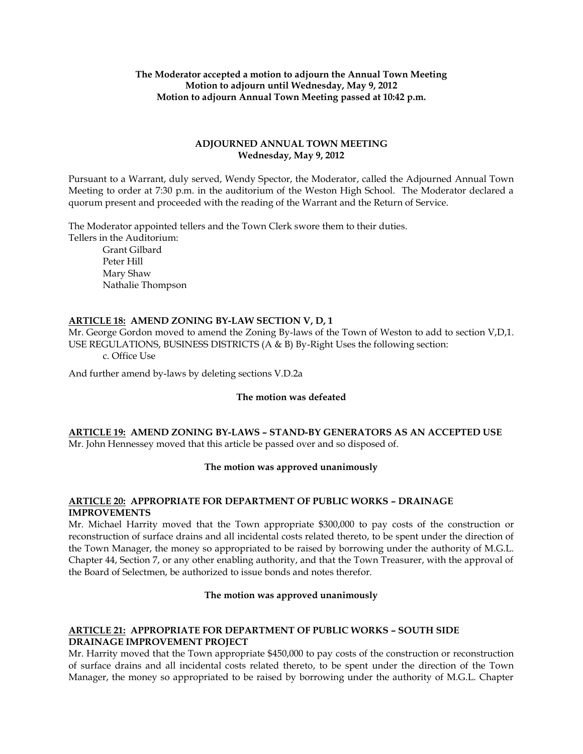# **The Moderator accepted a motion to adjourn the Annual Town Meeting Motion to adjourn until Wednesday, May 9, 2012 Motion to adjourn Annual Town Meeting passed at 10:42 p.m.**

# **ADJOURNED ANNUAL TOWN MEETING Wednesday, May 9, 2012**

Pursuant to a Warrant, duly served, Wendy Spector, the Moderator, called the Adjourned Annual Town Meeting to order at 7:30 p.m. in the auditorium of the Weston High School. The Moderator declared a quorum present and proceeded with the reading of the Warrant and the Return of Service.

The Moderator appointed tellers and the Town Clerk swore them to their duties. Tellers in the Auditorium:

> Grant Gilbard Peter Hill Mary Shaw Nathalie Thompson

# **ARTICLE 18: AMEND ZONING BY-LAW SECTION V, D, 1**

Mr. George Gordon moved to amend the Zoning By-laws of the Town of Weston to add to section V,D,1. USE REGULATIONS, BUSINESS DISTRICTS (A & B) By-Right Uses the following section: c. Office Use

And further amend by-laws by deleting sections V.D.2a

# **The motion was defeated**

# **ARTICLE 19: AMEND ZONING BY-LAWS – STAND-BY GENERATORS AS AN ACCEPTED USE** Mr. John Hennessey moved that this article be passed over and so disposed of.

# **The motion was approved unanimously**

# **ARTICLE 20: APPROPRIATE FOR DEPARTMENT OF PUBLIC WORKS – DRAINAGE IMPROVEMENTS**

Mr. Michael Harrity moved that the Town appropriate \$300,000 to pay costs of the construction or reconstruction of surface drains and all incidental costs related thereto, to be spent under the direction of the Town Manager, the money so appropriated to be raised by borrowing under the authority of M.G.L. Chapter 44, Section 7, or any other enabling authority, and that the Town Treasurer, with the approval of the Board of Selectmen, be authorized to issue bonds and notes therefor.

# **The motion was approved unanimously**

# **ARTICLE 21: APPROPRIATE FOR DEPARTMENT OF PUBLIC WORKS – SOUTH SIDE DRAINAGE IMPROVEMENT PROJECT**

Mr. Harrity moved that the Town appropriate \$450,000 to pay costs of the construction or reconstruction of surface drains and all incidental costs related thereto, to be spent under the direction of the Town Manager, the money so appropriated to be raised by borrowing under the authority of M.G.L. Chapter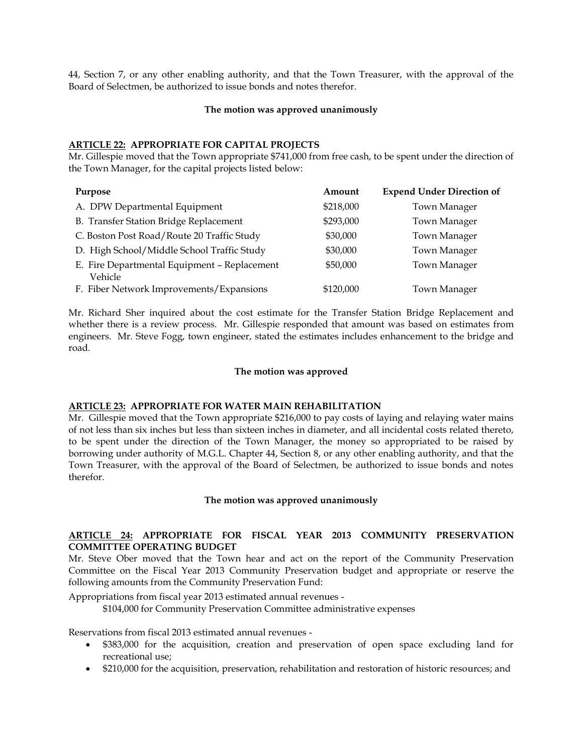44, Section 7, or any other enabling authority, and that the Town Treasurer, with the approval of the Board of Selectmen, be authorized to issue bonds and notes therefor.

#### **The motion was approved unanimously**

# **ARTICLE 22: APPROPRIATE FOR CAPITAL PROJECTS**

Mr. Gillespie moved that the Town appropriate \$741,000 from free cash, to be spent under the direction of the Town Manager, for the capital projects listed below:

| Purpose                                                 | Amount    | <b>Expend Under Direction of</b> |
|---------------------------------------------------------|-----------|----------------------------------|
| A. DPW Departmental Equipment                           | \$218,000 | Town Manager                     |
| B. Transfer Station Bridge Replacement                  | \$293,000 | <b>Town Manager</b>              |
| C. Boston Post Road/Route 20 Traffic Study              | \$30,000  | <b>Town Manager</b>              |
| D. High School/Middle School Traffic Study              | \$30,000  | <b>Town Manager</b>              |
| E. Fire Departmental Equipment - Replacement<br>Vehicle | \$50,000  | Town Manager                     |
| F. Fiber Network Improvements/Expansions                | \$120,000 | Town Manager                     |

Mr. Richard Sher inquired about the cost estimate for the Transfer Station Bridge Replacement and whether there is a review process. Mr. Gillespie responded that amount was based on estimates from engineers. Mr. Steve Fogg, town engineer, stated the estimates includes enhancement to the bridge and road.

#### **The motion was approved**

# **ARTICLE 23: APPROPRIATE FOR WATER MAIN REHABILITATION**

Mr. Gillespie moved that the Town appropriate \$216,000 to pay costs of laying and relaying water mains of not less than six inches but less than sixteen inches in diameter, and all incidental costs related thereto, to be spent under the direction of the Town Manager, the money so appropriated to be raised by borrowing under authority of M.G.L. Chapter 44, Section 8, or any other enabling authority, and that the Town Treasurer, with the approval of the Board of Selectmen, be authorized to issue bonds and notes therefor.

# **The motion was approved unanimously**

# **ARTICLE 24: APPROPRIATE FOR FISCAL YEAR 2013 COMMUNITY PRESERVATION COMMITTEE OPERATING BUDGET**

Mr. Steve Ober moved that the Town hear and act on the report of the Community Preservation Committee on the Fiscal Year 2013 Community Preservation budget and appropriate or reserve the following amounts from the Community Preservation Fund:

Appropriations from fiscal year 2013 estimated annual revenues -

\$104,000 for Community Preservation Committee administrative expenses

Reservations from fiscal 2013 estimated annual revenues -

- \$383,000 for the acquisition, creation and preservation of open space excluding land for recreational use;
- \$210,000 for the acquisition, preservation, rehabilitation and restoration of historic resources; and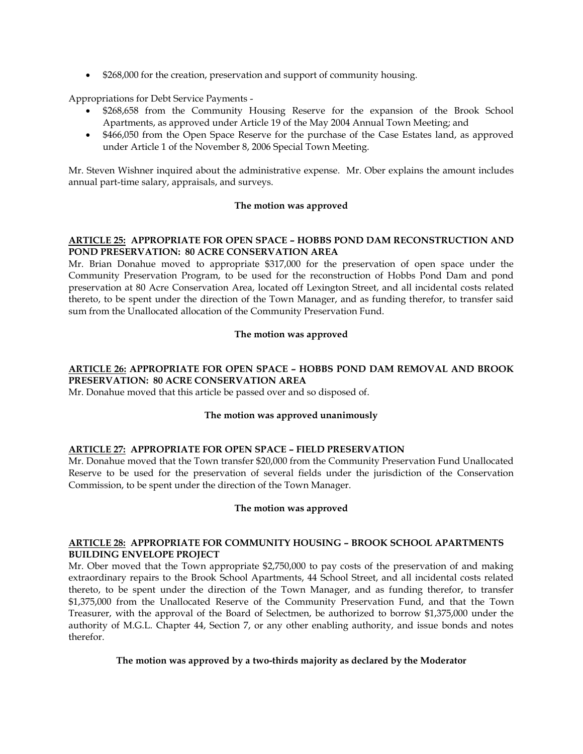• \$268,000 for the creation, preservation and support of community housing.

Appropriations for Debt Service Payments -

- \$268,658 from the Community Housing Reserve for the expansion of the Brook School Apartments, as approved under Article 19 of the May 2004 Annual Town Meeting; and
- \$466,050 from the Open Space Reserve for the purchase of the Case Estates land, as approved under Article 1 of the November 8, 2006 Special Town Meeting.

Mr. Steven Wishner inquired about the administrative expense. Mr. Ober explains the amount includes annual part-time salary, appraisals, and surveys.

# **The motion was approved**

# **ARTICLE 25: APPROPRIATE FOR OPEN SPACE – HOBBS POND DAM RECONSTRUCTION AND POND PRESERVATION: 80 ACRE CONSERVATION AREA**

Mr. Brian Donahue moved to appropriate \$317,000 for the preservation of open space under the Community Preservation Program, to be used for the reconstruction of Hobbs Pond Dam and pond preservation at 80 Acre Conservation Area, located off Lexington Street, and all incidental costs related thereto, to be spent under the direction of the Town Manager, and as funding therefor, to transfer said sum from the Unallocated allocation of the Community Preservation Fund.

# **The motion was approved**

# **ARTICLE 26: APPROPRIATE FOR OPEN SPACE – HOBBS POND DAM REMOVAL AND BROOK PRESERVATION: 80 ACRE CONSERVATION AREA**

Mr. Donahue moved that this article be passed over and so disposed of.

# **The motion was approved unanimously**

# **ARTICLE 27: APPROPRIATE FOR OPEN SPACE – FIELD PRESERVATION**

Mr. Donahue moved that the Town transfer \$20,000 from the Community Preservation Fund Unallocated Reserve to be used for the preservation of several fields under the jurisdiction of the Conservation Commission, to be spent under the direction of the Town Manager.

# **The motion was approved**

# **ARTICLE 28: APPROPRIATE FOR COMMUNITY HOUSING – BROOK SCHOOL APARTMENTS BUILDING ENVELOPE PROJECT**

Mr. Ober moved that the Town appropriate \$2,750,000 to pay costs of the preservation of and making extraordinary repairs to the Brook School Apartments, 44 School Street, and all incidental costs related thereto, to be spent under the direction of the Town Manager, and as funding therefor, to transfer \$1,375,000 from the Unallocated Reserve of the Community Preservation Fund, and that the Town Treasurer, with the approval of the Board of Selectmen, be authorized to borrow \$1,375,000 under the authority of M.G.L. Chapter 44, Section 7, or any other enabling authority, and issue bonds and notes therefor.

# **The motion was approved by a two-thirds majority as declared by the Moderator**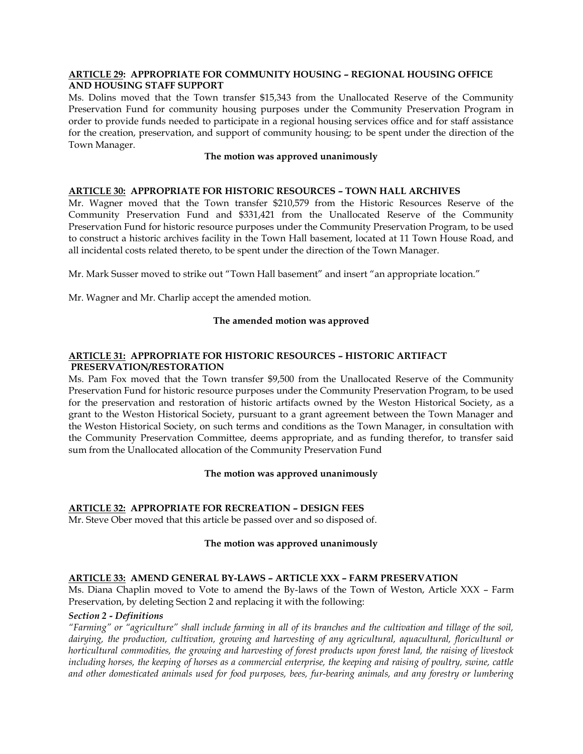# **ARTICLE 29: APPROPRIATE FOR COMMUNITY HOUSING – REGIONAL HOUSING OFFICE AND HOUSING STAFF SUPPORT**

Ms. Dolins moved that the Town transfer \$15,343 from the Unallocated Reserve of the Community Preservation Fund for community housing purposes under the Community Preservation Program in order to provide funds needed to participate in a regional housing services office and for staff assistance for the creation, preservation, and support of community housing; to be spent under the direction of the Town Manager.

# **The motion was approved unanimously**

# **ARTICLE 30: APPROPRIATE FOR HISTORIC RESOURCES – TOWN HALL ARCHIVES**

Mr. Wagner moved that the Town transfer \$210,579 from the Historic Resources Reserve of the Community Preservation Fund and \$331,421 from the Unallocated Reserve of the Community Preservation Fund for historic resource purposes under the Community Preservation Program, to be used to construct a historic archives facility in the Town Hall basement, located at 11 Town House Road, and all incidental costs related thereto, to be spent under the direction of the Town Manager.

Mr. Mark Susser moved to strike out "Town Hall basement" and insert "an appropriate location."

Mr. Wagner and Mr. Charlip accept the amended motion.

#### **The amended motion was approved**

# **ARTICLE 31: APPROPRIATE FOR HISTORIC RESOURCES – HISTORIC ARTIFACT PRESERVATION/RESTORATION**

Ms. Pam Fox moved that the Town transfer \$9,500 from the Unallocated Reserve of the Community Preservation Fund for historic resource purposes under the Community Preservation Program, to be used for the preservation and restoration of historic artifacts owned by the Weston Historical Society, as a grant to the Weston Historical Society, pursuant to a grant agreement between the Town Manager and the Weston Historical Society, on such terms and conditions as the Town Manager, in consultation with the Community Preservation Committee, deems appropriate, and as funding therefor, to transfer said sum from the Unallocated allocation of the Community Preservation Fund

#### **The motion was approved unanimously**

# **ARTICLE 32: APPROPRIATE FOR RECREATION – DESIGN FEES**

Mr. Steve Ober moved that this article be passed over and so disposed of.

# **The motion was approved unanimously**

# **ARTICLE 33: AMEND GENERAL BY-LAWS – ARTICLE XXX – FARM PRESERVATION**

Ms. Diana Chaplin moved to Vote to amend the By-laws of the Town of Weston, Article XXX – Farm Preservation, by deleting Section 2 and replacing it with the following:

#### *Section 2 - Definitions*

*"Farming" or "agriculture" shall include farming in all of its branches and the cultivation and tillage of the soil, dairying, the production, cultivation, growing and harvesting of any agricultural, aquacultural, floricultural or horticultural commodities, the growing and harvesting of forest products upon forest land, the raising of livestock*  including horses, the keeping of horses as a commercial enterprise, the keeping and raising of poultry, swine, cattle *and other domesticated animals used for food purposes, bees, fur-bearing animals, and any forestry or lumbering*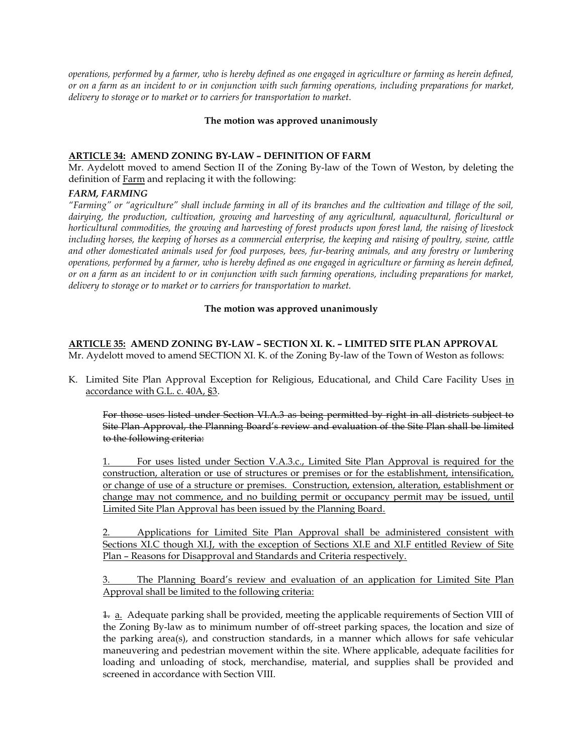*operations, performed by a farmer, who is hereby defined as one engaged in agriculture or farming as herein defined, or on a farm as an incident to or in conjunction with such farming operations, including preparations for market, delivery to storage or to market or to carriers for transportation to market.*

# **The motion was approved unanimously**

# **ARTICLE 34: AMEND ZONING BY-LAW – DEFINITION OF FARM**

Mr. Aydelott moved to amend Section II of the Zoning By-law of the Town of Weston, by deleting the definition of **Farm** and replacing it with the following:

# *FARM, FARMING*

*"Farming" or "agriculture" shall include farming in all of its branches and the cultivation and tillage of the soil, dairying, the production, cultivation, growing and harvesting of any agricultural, aquacultural, floricultural or horticultural commodities, the growing and harvesting of forest products upon forest land, the raising of livestock including horses, the keeping of horses as a commercial enterprise, the keeping and raising of poultry, swine, cattle and other domesticated animals used for food purposes, bees, fur-bearing animals, and any forestry or lumbering operations, performed by a farmer, who is hereby defined as one engaged in agriculture or farming as herein defined, or on a farm as an incident to or in conjunction with such farming operations, including preparations for market, delivery to storage or to market or to carriers for transportation to market.*

# **The motion was approved unanimously**

# **ARTICLE 35: AMEND ZONING BY-LAW – SECTION XI. K. – LIMITED SITE PLAN APPROVAL**

Mr. Aydelott moved to amend SECTION XI. K. of the Zoning By-law of the Town of Weston as follows:

K. Limited Site Plan Approval Exception for Religious, Educational, and Child Care Facility Uses in accordance with G.L. c. 40A, §3.

For those uses listed under Section VI.A.3 as being permitted by right in all districts subject to Site Plan Approval, the Planning Board's review and evaluation of the Site Plan shall be limited to the following criteria:

1. For uses listed under Section V.A.3.c., Limited Site Plan Approval is required for the construction, alteration or use of structures or premises or for the establishment, intensification, or change of use of a structure or premises. Construction, extension, alteration, establishment or change may not commence, and no building permit or occupancy permit may be issued, until Limited Site Plan Approval has been issued by the Planning Board.

2. Applications for Limited Site Plan Approval shall be administered consistent with Sections XI.C though XI.J, with the exception of Sections XI.E and XI.F entitled Review of Site Plan – Reasons for Disapproval and Standards and Criteria respectively.

3. The Planning Board's review and evaluation of an application for Limited Site Plan Approval shall be limited to the following criteria:

1. a. Adequate parking shall be provided, meeting the applicable requirements of Section VIII of the Zoning By-law as to minimum number of off-street parking spaces, the location and size of the parking area(s), and construction standards, in a manner which allows for safe vehicular maneuvering and pedestrian movement within the site. Where applicable, adequate facilities for loading and unloading of stock, merchandise, material, and supplies shall be provided and screened in accordance with Section VIII.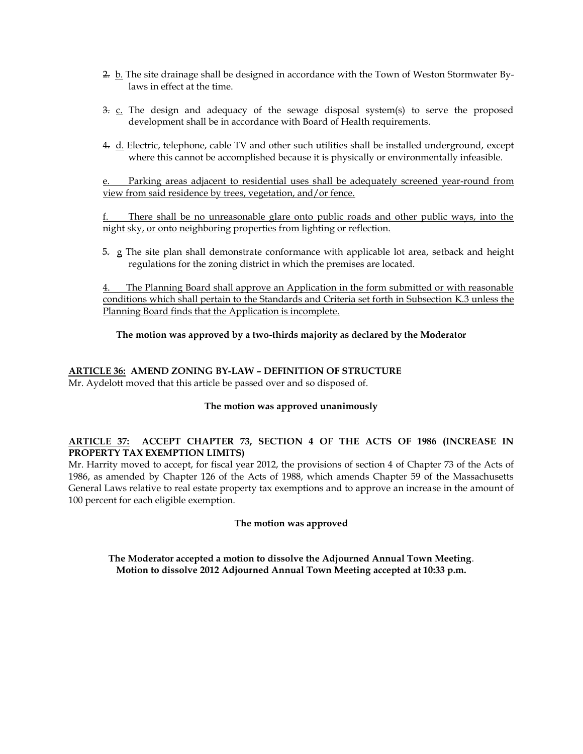- 2. b. The site drainage shall be designed in accordance with the Town of Weston Stormwater Bylaws in effect at the time.
- $\frac{3}{2}$ .  $\frac{c}{2}$ . The design and adequacy of the sewage disposal system(s) to serve the proposed development shall be in accordance with Board of Health requirements.
- 4. d. Electric, telephone, cable TV and other such utilities shall be installed underground, except where this cannot be accomplished because it is physically or environmentally infeasible.

e. Parking areas adjacent to residential uses shall be adequately screened year-round from view from said residence by trees, vegetation, and/or fence.

f. There shall be no unreasonable glare onto public roads and other public ways, into the night sky, or onto neighboring properties from lighting or reflection.

 5. g The site plan shall demonstrate conformance with applicable lot area, setback and height regulations for the zoning district in which the premises are located.

4. The Planning Board shall approve an Application in the form submitted or with reasonable conditions which shall pertain to the Standards and Criteria set forth in Subsection K.3 unless the Planning Board finds that the Application is incomplete.

# **The motion was approved by a two-thirds majority as declared by the Moderator**

# **ARTICLE 36: AMEND ZONING BY-LAW – DEFINITION OF STRUCTURE**

Mr. Aydelott moved that this article be passed over and so disposed of.

# **The motion was approved unanimously**

# **ARTICLE 37: ACCEPT CHAPTER 73, SECTION 4 OF THE ACTS OF 1986 (INCREASE IN PROPERTY TAX EXEMPTION LIMITS)**

Mr. Harrity moved to accept, for fiscal year 2012, the provisions of section 4 of Chapter 73 of the Acts of 1986, as amended by Chapter 126 of the Acts of 1988, which amends Chapter 59 of the Massachusetts General Laws relative to real estate property tax exemptions and to approve an increase in the amount of 100 percent for each eligible exemption.

# **The motion was approved**

**The Moderator accepted a motion to dissolve the Adjourned Annual Town Meeting**. **Motion to dissolve 2012 Adjourned Annual Town Meeting accepted at 10:33 p.m.**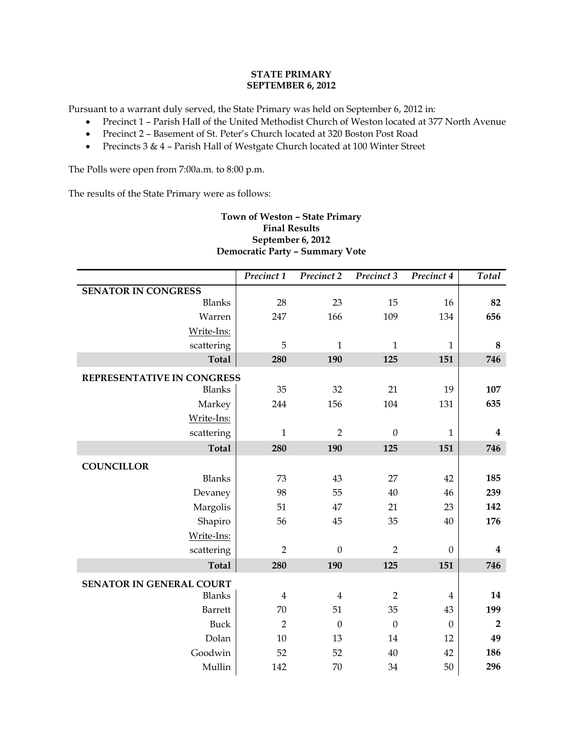# **STATE PRIMARY SEPTEMBER 6, 2012**

Pursuant to a warrant duly served, the State Primary was held on September 6, 2012 in:

- Precinct 1 Parish Hall of the United Methodist Church of Weston located at 377 North Avenue
- Precinct 2 Basement of St. Peter's Church located at 320 Boston Post Road
- Precincts 3 & 4 Parish Hall of Westgate Church located at 100 Winter Street

The Polls were open from 7:00a.m. to 8:00 p.m.

The results of the State Primary were as follows:

# **Town of Weston – State Primary Final Results September 6, 2012 Democratic Party – Summary Vote**

|                                 | Precinct 1     | Precinct 2       | Precinct 3       | Precinct 4       | Total            |
|---------------------------------|----------------|------------------|------------------|------------------|------------------|
| <b>SENATOR IN CONGRESS</b>      |                |                  |                  |                  |                  |
| <b>Blanks</b>                   | 28             | 23               | 15               | 16               | 82               |
| Warren                          | 247            | 166              | 109              | 134              | 656              |
| Write-Ins:                      |                |                  |                  |                  |                  |
| scattering                      | 5              | $\mathbf{1}$     | $\mathbf{1}$     | $\mathbf{1}$     | 8                |
| <b>Total</b>                    | 280            | 190              | 125              | 151              | 746              |
| REPRESENTATIVE IN CONGRESS      |                |                  |                  |                  |                  |
| <b>Blanks</b>                   | 35             | 32               | 21               | 19               | 107              |
| Markey                          | 244            | 156              | 104              | 131              | 635              |
| Write-Ins:                      |                |                  |                  |                  |                  |
| scattering                      | $\mathbf{1}$   | $\overline{2}$   | $\boldsymbol{0}$ | $\mathbf{1}$     | $\boldsymbol{4}$ |
| <b>Total</b>                    | 280            | 190              | 125              | 151              | 746              |
| <b>COUNCILLOR</b>               |                |                  |                  |                  |                  |
| <b>Blanks</b>                   | 73             | 43               | 27               | 42               | 185              |
| Devaney                         | 98             | 55               | 40               | 46               | 239              |
| Margolis                        | 51             | 47               | 21               | 23               | 142              |
| Shapiro                         | 56             | 45               | 35               | 40               | 176              |
| Write-Ins:                      |                |                  |                  |                  |                  |
| scattering                      | $\overline{2}$ | $\boldsymbol{0}$ | $\overline{2}$   | $\boldsymbol{0}$ | $\boldsymbol{4}$ |
| <b>Total</b>                    | 280            | 190              | 125              | 151              | 746              |
| <b>SENATOR IN GENERAL COURT</b> |                |                  |                  |                  |                  |
| <b>Blanks</b>                   | $\overline{4}$ | $\overline{4}$   | $\overline{2}$   | $\overline{4}$   | 14               |
| Barrett                         | 70             | 51               | 35               | 43               | 199              |
| <b>Buck</b>                     | $\overline{2}$ | $\theta$         | $\theta$         | $\theta$         | $\overline{2}$   |
| Dolan                           | 10             | 13               | 14               | 12               | 49               |
| Goodwin                         | 52             | 52               | 40               | 42               | 186              |
| Mullin                          | 142            | 70               | 34               | 50               | 296              |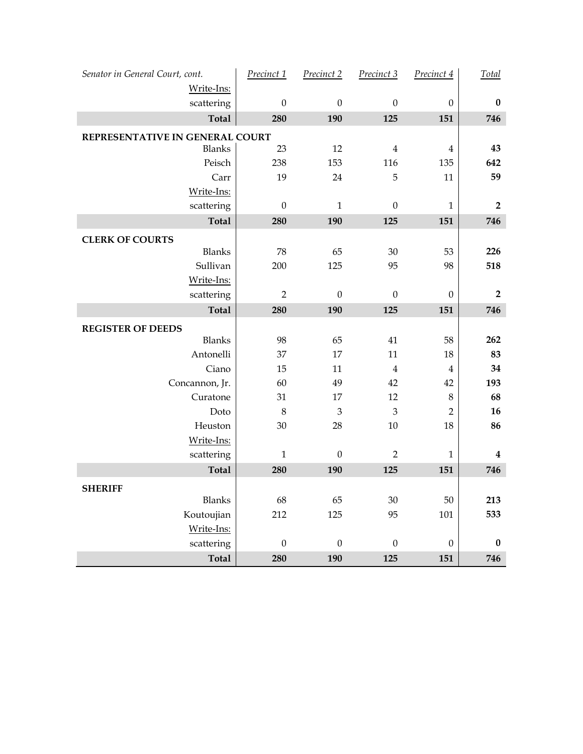| Senator in General Court, cont.                  | Precinct 1       | Precinct 2       | Precinct 3       | Precinct 4              | Total            |
|--------------------------------------------------|------------------|------------------|------------------|-------------------------|------------------|
| Write-Ins:<br>scattering                         | $\boldsymbol{0}$ | $\boldsymbol{0}$ | $\boldsymbol{0}$ | $\boldsymbol{0}$        | $\pmb{0}$        |
| <b>Total</b>                                     | 280              | 190              | 125              | 151                     | 746              |
|                                                  |                  |                  |                  |                         |                  |
| REPRESENTATIVE IN GENERAL COURT<br><b>Blanks</b> | 23               | 12               | $\bf 4$          | $\bf 4$                 | 43               |
| Peisch                                           | 238              | 153              | 116              | 135                     | 642              |
| Carr                                             | 19               | 24               | $\mathbf 5$      | 11                      | 59               |
| Write-Ins:                                       |                  |                  |                  |                         |                  |
| scattering                                       | $\boldsymbol{0}$ | $\mathbf 1$      | $\boldsymbol{0}$ | $\mathbf{1}$            | $\mathbf 2$      |
| <b>Total</b>                                     | 280              | 190              | 125              | 151                     | 746              |
| <b>CLERK OF COURTS</b>                           |                  |                  |                  |                         |                  |
| Blanks                                           | 78               | 65               | 30               | 53                      | 226              |
| Sullivan                                         | $200\,$          | 125              | 95               | 98                      | 518              |
| Write-Ins:                                       |                  |                  |                  |                         |                  |
| scattering                                       | $\overline{2}$   | $\boldsymbol{0}$ | $\boldsymbol{0}$ | $\boldsymbol{0}$        | $\mathbf 2$      |
| <b>Total</b>                                     | 280              | 190              | 125              | 151                     | 746              |
| <b>REGISTER OF DEEDS</b>                         |                  |                  |                  |                         |                  |
| Blanks                                           | 98               | 65               | 41               | 58                      | 262              |
| Antonelli                                        | 37               | 17               | 11               | 18                      | 83               |
| Ciano                                            | 15               | 11               | $\overline{4}$   | $\overline{\mathbf{4}}$ | 34               |
| Concannon, Jr.                                   | 60               | 49               | 42               | 42                      | 193              |
| Curatone                                         | 31               | $17\,$           | $12\,$           | 8                       | 68               |
| Doto                                             | $\,8\,$          | $\mathfrak{Z}$   | $\mathfrak{B}$   | $\overline{2}$          | 16               |
| Heuston                                          | 30               | 28               | $10\,$           | 18                      | 86               |
| Write-Ins:                                       |                  |                  |                  |                         |                  |
| scattering                                       | $\mathbf{1}$     | $\boldsymbol{0}$ | $\overline{2}$   | $\mathbf{1}$            | $\boldsymbol{4}$ |
| <b>Total</b>                                     | 280              | 190              | 125              | 151                     | 746              |
| <b>SHERIFF</b>                                   |                  |                  |                  |                         |                  |
| <b>Blanks</b>                                    | 68               | 65               | $30\,$           | $50\,$                  | 213              |
| Koutoujian                                       | 212              | 125              | 95               | 101                     | 533              |
| Write-Ins:                                       |                  |                  |                  |                         |                  |
| scattering                                       | $\boldsymbol{0}$ | $\boldsymbol{0}$ | $\boldsymbol{0}$ | $\boldsymbol{0}$        | $\pmb{0}$        |
| <b>Total</b>                                     | 280              | 190              | 125              | 151                     | 746              |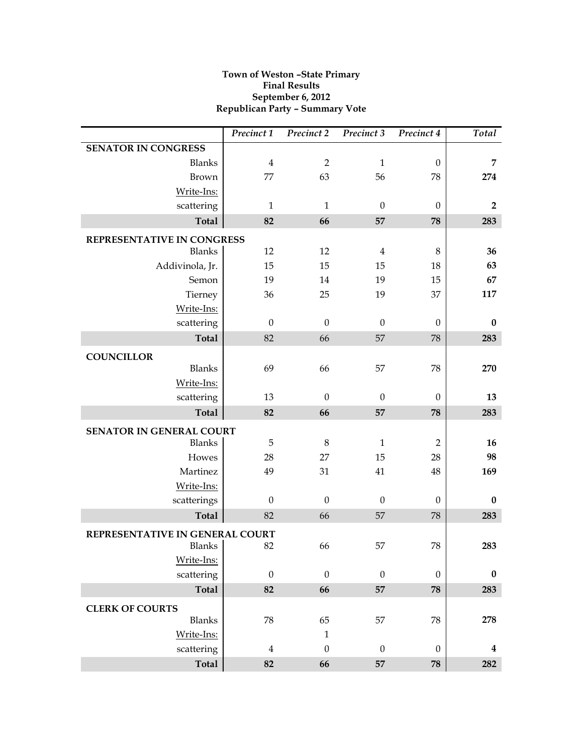# **Town of Weston –State Primary Final Results September 6, 2012 Republican Party – Summary Vote**

|                                                  | Precinct 1       | Precinct 2       | Precinct 3       | Precinct 4       | Total            |
|--------------------------------------------------|------------------|------------------|------------------|------------------|------------------|
| <b>SENATOR IN CONGRESS</b>                       |                  |                  |                  |                  |                  |
| <b>Blanks</b>                                    | $\overline{4}$   | $\overline{2}$   | $\mathbf{1}$     | $\boldsymbol{0}$ | 7                |
| Brown                                            | 77               | 63               | 56               | 78               | 274              |
| Write-Ins:                                       |                  |                  |                  |                  |                  |
| scattering                                       | $\mathbf{1}$     | $\mathbf{1}$     | $\mathbf{0}$     | $\theta$         | $\overline{2}$   |
| <b>Total</b>                                     | 82               | 66               | 57               | 78               | 283              |
| REPRESENTATIVE IN CONGRESS                       |                  |                  |                  |                  |                  |
| <b>Blanks</b>                                    | 12               | 12               | $\overline{4}$   | 8                | 36               |
| Addivinola, Jr.                                  | 15               | 15               | 15               | 18               | 63               |
| Semon                                            | 19               | 14               | 19               | 15               | 67               |
| Tierney                                          | 36               | 25               | 19               | 37               | 117              |
| Write-Ins:                                       |                  |                  |                  |                  |                  |
| scattering                                       | $\boldsymbol{0}$ | $\boldsymbol{0}$ | $\boldsymbol{0}$ | $\theta$         | $\bf{0}$         |
| <b>Total</b>                                     | 82               | 66               | 57               | 78               | 283              |
| <b>COUNCILLOR</b>                                |                  |                  |                  |                  |                  |
| <b>Blanks</b>                                    | 69               | 66               | 57               | 78               | 270              |
| Write-Ins:                                       |                  |                  |                  |                  |                  |
| scattering                                       | 13               | $\theta$         | $\theta$         | $\theta$         | 13               |
| <b>Total</b>                                     | 82               | 66               | 57               | 78               | 283              |
| SENATOR IN GENERAL COURT                         |                  |                  |                  |                  |                  |
| <b>Blanks</b>                                    | 5                | $\,8\,$          | $\mathbf{1}$     | $\overline{2}$   | 16               |
| Howes                                            | 28               | 27               | 15               | 28               | 98               |
| Martinez                                         | 49               | 31               | 41               | 48               | 169              |
| Write-Ins:                                       |                  |                  |                  |                  |                  |
| scatterings                                      | $\theta$         | $\theta$         | $\theta$         | $\theta$         | $\bf{0}$         |
| <b>Total</b>                                     | 82               | 66               | 57               | 78               | 283              |
|                                                  |                  |                  |                  |                  |                  |
| REPRESENTATIVE IN GENERAL COURT<br><b>Blanks</b> | 82               | 66               | 57               | 78               | 283              |
| Write-Ins:                                       |                  |                  |                  |                  |                  |
| scattering                                       | $\boldsymbol{0}$ | $\boldsymbol{0}$ | $\theta$         | $\boldsymbol{0}$ | $\pmb{0}$        |
| Total                                            | 82               | 66               | 57               | 78               | 283              |
|                                                  |                  |                  |                  |                  |                  |
| <b>CLERK OF COURTS</b>                           |                  |                  |                  |                  |                  |
| Blanks                                           | 78               | 65               | 57               | 78               | 278              |
| Write-Ins:                                       |                  | $\mathbf{1}$     |                  |                  |                  |
| scattering                                       | $\overline{4}$   | $\boldsymbol{0}$ | $\boldsymbol{0}$ | $\boldsymbol{0}$ | $\boldsymbol{4}$ |
| Total                                            | 82               | 66               | 57               | 78               | 282              |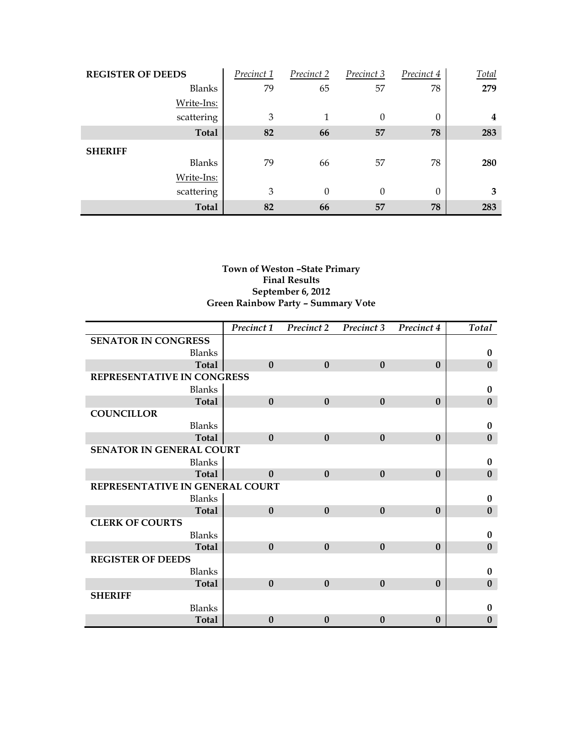| <b>REGISTER OF DEEDS</b> | Precinct 1 | Precinct 2     | Precinct 3 | Precinct 4 | Total |
|--------------------------|------------|----------------|------------|------------|-------|
| <b>Blanks</b>            | 79         | 65             | 57         | 78         | 279   |
| Write-Ins:               |            |                |            |            |       |
| scattering               | 3          | 1              | $\theta$   | 0          | 4     |
| <b>Total</b>             | 82         | 66             | 57         | 78         | 283   |
| <b>SHERIFF</b>           |            |                |            |            |       |
| <b>Blanks</b>            | 79         | 66             | 57         | 78         | 280   |
| Write-Ins:               |            |                |            |            |       |
| scattering               | 3          | $\overline{0}$ | $\theta$   | $\Omega$   | 3     |
| <b>Total</b>             | 82         | 66             | 57         | 78         | 283   |

# **Town of Weston –State Primary Final Results September 6, 2012 Green Rainbow Party – Summary Vote**

|                                 | Precinct 1       | Precinct 2   | Precinct 3       | Precinct 4   | Total        |
|---------------------------------|------------------|--------------|------------------|--------------|--------------|
| <b>SENATOR IN CONGRESS</b>      |                  |              |                  |              |              |
| <b>Blanks</b>                   |                  |              |                  |              | $\bf{0}$     |
| <b>Total</b>                    | $\bf{0}$         | $\bf{0}$     | $\bf{0}$         | $\mathbf{0}$ | $\bf{0}$     |
| REPRESENTATIVE IN CONGRESS      |                  |              |                  |              |              |
| <b>Blanks</b>                   |                  |              |                  |              | $\bf{0}$     |
| <b>Total</b>                    | $\boldsymbol{0}$ | $\mathbf{0}$ | $\boldsymbol{0}$ | $\mathbf{0}$ | $\bf{0}$     |
| <b>COUNCILLOR</b>               |                  |              |                  |              |              |
| <b>Blanks</b>                   |                  |              |                  |              | $\bf{0}$     |
| <b>Total</b>                    | $\mathbf{0}$     | $\mathbf{0}$ | $\boldsymbol{0}$ | $\mathbf{0}$ | $\bf{0}$     |
| SENATOR IN GENERAL COURT        |                  |              |                  |              |              |
| <b>Blanks</b>                   |                  |              |                  |              | $\bf{0}$     |
| <b>Total</b>                    | $\Omega$         | $\mathbf{0}$ | $\boldsymbol{0}$ | $\mathbf{0}$ | $\bf{0}$     |
| REPRESENTATIVE IN GENERAL COURT |                  |              |                  |              |              |
| <b>Blanks</b>                   |                  |              |                  |              | $\bf{0}$     |
| <b>Total</b>                    | $\mathbf{0}$     | $\bf{0}$     | $\boldsymbol{0}$ | $\mathbf{0}$ | $\bf{0}$     |
| <b>CLERK OF COURTS</b>          |                  |              |                  |              |              |
| <b>Blanks</b>                   |                  |              |                  |              | $\bf{0}$     |
| <b>Total</b>                    | $\mathbf{0}$     | $\mathbf{0}$ | $\boldsymbol{0}$ | $\mathbf{0}$ | $\bf{0}$     |
| <b>REGISTER OF DEEDS</b>        |                  |              |                  |              |              |
| <b>Blanks</b>                   |                  |              |                  |              | $\bf{0}$     |
| <b>Total</b>                    | $\mathbf{0}$     | $\mathbf{0}$ | $\bf{0}$         | $\bf{0}$     | $\bf{0}$     |
| <b>SHERIFF</b>                  |                  |              |                  |              |              |
| <b>Blanks</b>                   |                  |              |                  |              | $\bf{0}$     |
| <b>Total</b>                    | $\mathbf{0}$     | $\mathbf{0}$ | $\bf{0}$         | $\bf{0}$     | $\mathbf{0}$ |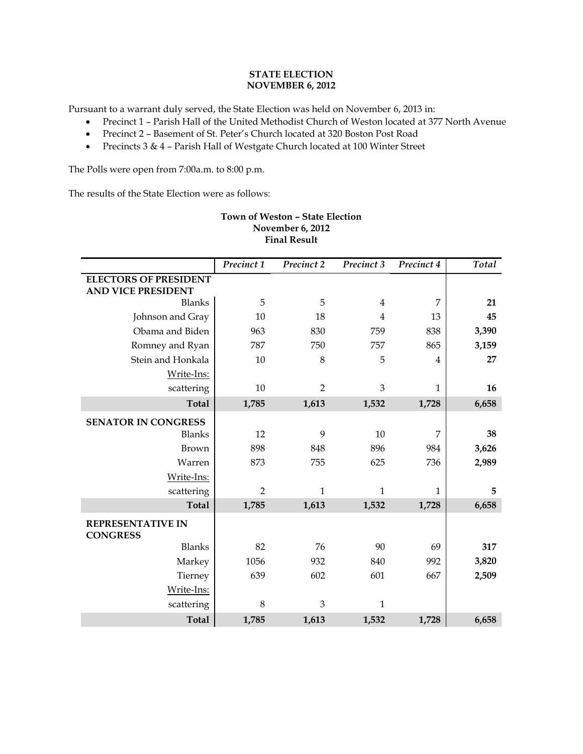# **STATE ELECTION NOVEMBER 6, 2012**

Pursuant to a warrant duly served, the State Election was held on November 6, 2013 in:

- Precinct 1 Parish Hall of the United Methodist Church of Weston located at 377 North Avenue
- Precinct 2 Basement of St. Peter's Church located at 320 Boston Post Road
- Precincts 3 & 4 Parish Hall of Westgate Church located at 100 Winter Street

The Polls were open from 7:00a.m. to 8:00 p.m.

The results of the State Election were as follows:

| <b>Final Result</b>                                       |                |                |                |              |       |  |
|-----------------------------------------------------------|----------------|----------------|----------------|--------------|-------|--|
|                                                           | Precinct 1     | Precinct 2     | Precinct 3     | Precinct 4   | Total |  |
| <b>ELECTORS OF PRESIDENT</b><br><b>AND VICE PRESIDENT</b> |                |                |                |              |       |  |
| <b>Blanks</b>                                             | 5              | 5              | $\overline{4}$ | 7            | 21    |  |
| Johnson and Gray                                          | 10             | 18             | $\overline{4}$ | 13           | 45    |  |
| Obama and Biden                                           | 963            | 830            | 759            | 838          | 3,390 |  |
| Romney and Ryan                                           | 787            | 750            | 757            | 865          | 3,159 |  |
| Stein and Honkala                                         | 10             | $\,8\,$        | 5              | 4            | 27    |  |
| Write-Ins:                                                |                |                |                |              |       |  |
| scattering                                                | 10             | $\overline{2}$ | $\mathfrak{B}$ | $\mathbf{1}$ | 16    |  |
| <b>Total</b>                                              | 1,785          | 1,613          | 1,532          | 1,728        | 6,658 |  |
| <b>SENATOR IN CONGRESS</b>                                |                |                |                |              |       |  |
| <b>Blanks</b>                                             | 12             | 9              | 10             | 7            | 38    |  |
| Brown                                                     | 898            | 848            | 896            | 984          | 3,626 |  |
| Warren                                                    | 873            | 755            | 625            | 736          | 2,989 |  |
| Write-Ins:                                                |                |                |                |              |       |  |
| scattering                                                | $\overline{2}$ | $\mathbf{1}$   | $\mathbf{1}$   | 1            | 5     |  |
| <b>Total</b>                                              | 1,785          | 1,613          | 1,532          | 1,728        | 6,658 |  |
| <b>REPRESENTATIVE IN</b><br><b>CONGRESS</b>               |                |                |                |              |       |  |
| <b>Blanks</b>                                             | 82             | 76             | 90             | 69           | 317   |  |
| Markey                                                    | 1056           | 932            | 840            | 992          | 3,820 |  |
| Tierney                                                   | 639            | 602            | 601            | 667          | 2,509 |  |
| Write-Ins:                                                |                |                |                |              |       |  |
| scattering                                                | 8              | 3              | $\mathbf{1}$   |              |       |  |
| <b>Total</b>                                              | 1,785          | 1,613          | 1,532          | 1,728        | 6,658 |  |

# **Town of Weston – State Election November 6, 2012**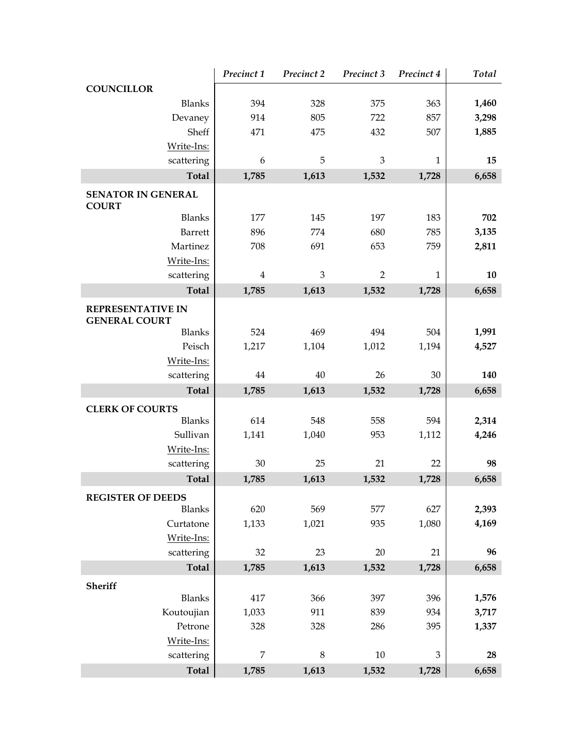|                                                  | Precinct 1 | Precinct 2                | Precinct 3     | Precinct 4     | Total |
|--------------------------------------------------|------------|---------------------------|----------------|----------------|-------|
| <b>COUNCILLOR</b>                                |            |                           |                |                |       |
| <b>Blanks</b>                                    | 394        | 328                       | 375            | 363            | 1,460 |
| Devaney                                          | 914        | 805                       | 722            | 857            | 3,298 |
| Sheff                                            | 471        | 475                       | 432            | 507            | 1,885 |
| Write-Ins:                                       |            |                           |                |                |       |
| scattering                                       | 6          | 5                         | $\mathfrak{B}$ | $\mathbf{1}$   | 15    |
| <b>Total</b>                                     | 1,785      | 1,613                     | 1,532          | 1,728          | 6,658 |
| <b>SENATOR IN GENERAL</b><br><b>COURT</b>        |            |                           |                |                |       |
| <b>Blanks</b>                                    | 177        | 145                       | 197            | 183            | 702   |
| Barrett                                          | 896        | 774                       | 680            | 785            | 3,135 |
| Martinez                                         | 708        | 691                       | 653            | 759            | 2,811 |
| Write-Ins:                                       |            |                           |                |                |       |
| scattering                                       | 4          | $\ensuremath{\mathbf{3}}$ | $\overline{2}$ | $\mathbf{1}$   | 10    |
| <b>Total</b>                                     | 1,785      | 1,613                     | 1,532          | 1,728          | 6,658 |
| <b>REPRESENTATIVE IN</b><br><b>GENERAL COURT</b> |            |                           |                |                |       |
| <b>Blanks</b>                                    | 524        | 469                       | 494            | 504            | 1,991 |
| Peisch                                           | 1,217      | 1,104                     | 1,012          | 1,194          | 4,527 |
| Write-Ins:                                       |            |                           |                |                |       |
| scattering                                       | 44         | 40                        | 26             | 30             | 140   |
| <b>Total</b>                                     | 1,785      | 1,613                     | 1,532          | 1,728          | 6,658 |
| <b>CLERK OF COURTS</b>                           |            |                           |                |                |       |
| <b>Blanks</b>                                    | 614        | 548                       | 558            | 594            | 2,314 |
| Sullivan                                         | 1,141      | 1,040                     | 953            | 1,112          | 4,246 |
| Write-Ins:                                       |            |                           |                |                |       |
| scattering                                       | 30         | 25                        | 21             | 22             | 98    |
| <b>Total</b>                                     | 1,785      | 1,613                     | 1,532          | 1,728          | 6,658 |
| <b>REGISTER OF DEEDS</b>                         |            |                           |                |                |       |
| <b>Blanks</b>                                    | 620        | 569                       | 577            | 627            | 2,393 |
| Curtatone                                        | 1,133      | 1,021                     | 935            | 1,080          | 4,169 |
| Write-Ins:                                       |            |                           |                |                |       |
| scattering                                       | 32         | 23                        | 20             | 21             | 96    |
| <b>Total</b>                                     | 1,785      | 1,613                     | 1,532          | 1,728          | 6,658 |
| Sheriff                                          |            |                           |                |                |       |
| <b>Blanks</b>                                    | 417        | 366                       | 397            | 396            | 1,576 |
| Koutoujian                                       | 1,033      | 911                       | 839            | 934            | 3,717 |
| Petrone                                          | 328        | 328                       | 286            | 395            | 1,337 |
| Write-Ins:                                       |            |                           |                |                |       |
| scattering                                       | 7          | $\,8\,$                   | 10             | $\mathfrak{B}$ | 28    |
| <b>Total</b>                                     | 1,785      | 1,613                     | 1,532          | 1,728          | 6,658 |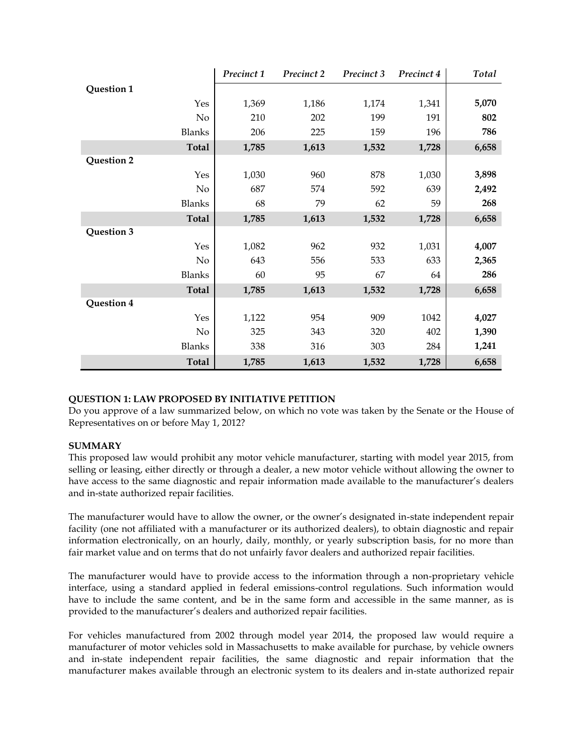|               | Precinct 1 | Precinct 2 | Precinct 3 | Precinct 4 | Total |
|---------------|------------|------------|------------|------------|-------|
| Question 1    |            |            |            |            |       |
| Yes           | 1,369      | 1,186      | 1,174      | 1,341      | 5,070 |
| $\rm No$      | 210        | 202        | 199        | 191        | 802   |
| <b>Blanks</b> | 206        | 225        | 159        | 196        | 786   |
| <b>Total</b>  | 1,785      | 1,613      | 1,532      | 1,728      | 6,658 |
| Question 2    |            |            |            |            |       |
| Yes           | 1,030      | 960        | 878        | 1,030      | 3,898 |
| No            | 687        | 574        | 592        | 639        | 2,492 |
| <b>Blanks</b> | 68         | 79         | 62         | 59         | 268   |
| <b>Total</b>  | 1,785      | 1,613      | 1,532      | 1,728      | 6,658 |
| Question 3    |            |            |            |            |       |
| Yes           | 1,082      | 962        | 932        | 1,031      | 4,007 |
| $\rm No$      | 643        | 556        | 533        | 633        | 2,365 |
| <b>Blanks</b> | 60         | 95         | 67         | 64         | 286   |
| <b>Total</b>  | 1,785      | 1,613      | 1,532      | 1,728      | 6,658 |
| Question 4    |            |            |            |            |       |
| Yes           | 1,122      | 954        | 909        | 1042       | 4,027 |
| No            | 325        | 343        | 320        | 402        | 1,390 |
| <b>Blanks</b> | 338        | 316        | 303        | 284        | 1,241 |
| <b>Total</b>  | 1,785      | 1,613      | 1,532      | 1,728      | 6,658 |

# **QUESTION 1: LAW PROPOSED BY INITIATIVE PETITION**

Do you approve of a law summarized below, on which no vote was taken by the Senate or the House of Representatives on or before May 1, 2012?

# **SUMMARY**

This proposed law would prohibit any motor vehicle manufacturer, starting with model year 2015, from selling or leasing, either directly or through a dealer, a new motor vehicle without allowing the owner to have access to the same diagnostic and repair information made available to the manufacturer's dealers and in-state authorized repair facilities.

The manufacturer would have to allow the owner, or the owner's designated in-state independent repair facility (one not affiliated with a manufacturer or its authorized dealers), to obtain diagnostic and repair information electronically, on an hourly, daily, monthly, or yearly subscription basis, for no more than fair market value and on terms that do not unfairly favor dealers and authorized repair facilities.

The manufacturer would have to provide access to the information through a non-proprietary vehicle interface, using a standard applied in federal emissions-control regulations. Such information would have to include the same content, and be in the same form and accessible in the same manner, as is provided to the manufacturer's dealers and authorized repair facilities.

For vehicles manufactured from 2002 through model year 2014, the proposed law would require a manufacturer of motor vehicles sold in Massachusetts to make available for purchase, by vehicle owners and in-state independent repair facilities, the same diagnostic and repair information that the manufacturer makes available through an electronic system to its dealers and in-state authorized repair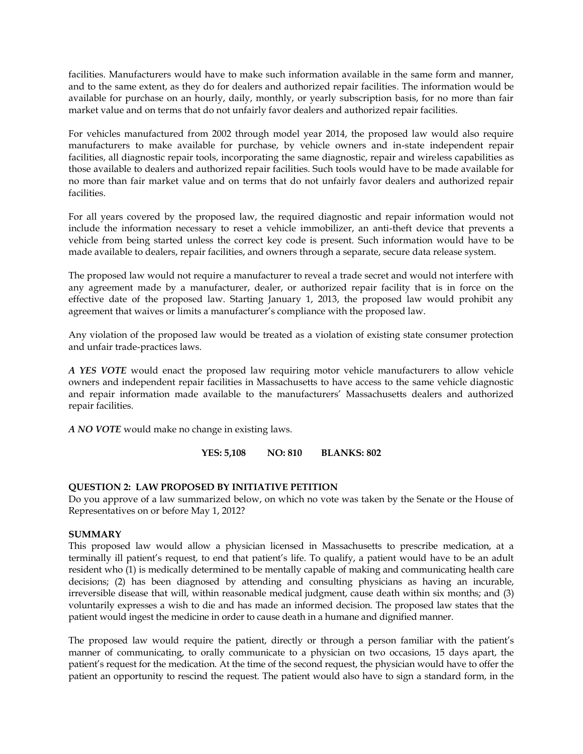facilities. Manufacturers would have to make such information available in the same form and manner, and to the same extent, as they do for dealers and authorized repair facilities. The information would be available for purchase on an hourly, daily, monthly, or yearly subscription basis, for no more than fair market value and on terms that do not unfairly favor dealers and authorized repair facilities.

For vehicles manufactured from 2002 through model year 2014, the proposed law would also require manufacturers to make available for purchase, by vehicle owners and in-state independent repair facilities, all diagnostic repair tools, incorporating the same diagnostic, repair and wireless capabilities as those available to dealers and authorized repair facilities. Such tools would have to be made available for no more than fair market value and on terms that do not unfairly favor dealers and authorized repair facilities.

For all years covered by the proposed law, the required diagnostic and repair information would not include the information necessary to reset a vehicle immobilizer, an anti-theft device that prevents a vehicle from being started unless the correct key code is present. Such information would have to be made available to dealers, repair facilities, and owners through a separate, secure data release system.

The proposed law would not require a manufacturer to reveal a trade secret and would not interfere with any agreement made by a manufacturer, dealer, or authorized repair facility that is in force on the effective date of the proposed law. Starting January 1, 2013, the proposed law would prohibit any agreement that waives or limits a manufacturer's compliance with the proposed law.

Any violation of the proposed law would be treated as a violation of existing state consumer protection and unfair trade-practices laws.

*A YES VOTE* would enact the proposed law requiring motor vehicle manufacturers to allow vehicle owners and independent repair facilities in Massachusetts to have access to the same vehicle diagnostic and repair information made available to the manufacturers' Massachusetts dealers and authorized repair facilities.

*A NO VOTE* would make no change in existing laws.

**YES: 5,108 NO: 810 BLANKS: 802**

# **QUESTION 2: LAW PROPOSED BY INITIATIVE PETITION**

Do you approve of a law summarized below, on which no vote was taken by the Senate or the House of Representatives on or before May 1, 2012?

# **SUMMARY**

This proposed law would allow a physician licensed in Massachusetts to prescribe medication, at a terminally ill patient's request, to end that patient's life. To qualify, a patient would have to be an adult resident who (1) is medically determined to be mentally capable of making and communicating health care decisions; (2) has been diagnosed by attending and consulting physicians as having an incurable, irreversible disease that will, within reasonable medical judgment, cause death within six months; and (3) voluntarily expresses a wish to die and has made an informed decision. The proposed law states that the patient would ingest the medicine in order to cause death in a humane and dignified manner.

The proposed law would require the patient, directly or through a person familiar with the patient's manner of communicating, to orally communicate to a physician on two occasions, 15 days apart, the patient's request for the medication. At the time of the second request, the physician would have to offer the patient an opportunity to rescind the request. The patient would also have to sign a standard form, in the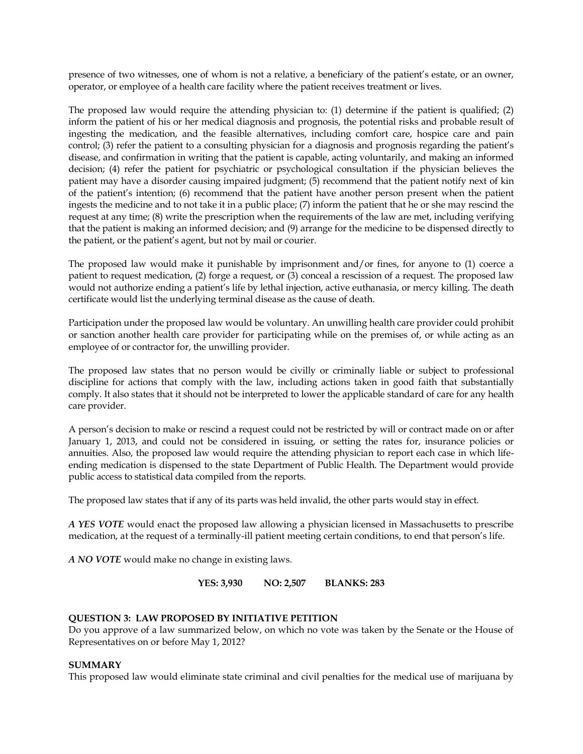presence of two witnesses, one of whom is not a relative, a beneficiary of the patient's estate, or an owner, operator, or employee of a health care facility where the patient receives treatment or lives.

The proposed law would require the attending physician to: (1) determine if the patient is qualified; (2) inform the patient of his or her medical diagnosis and prognosis, the potential risks and probable result of ingesting the medication, and the feasible alternatives, including comfort care, hospice care and pain control; (3) refer the patient to a consulting physician for a diagnosis and prognosis regarding the patient's disease, and confirmation in writing that the patient is capable, acting voluntarily, and making an informed decision; (4) refer the patient for psychiatric or psychological consultation if the physician believes the patient may have a disorder causing impaired judgment; (5) recommend that the patient notify next of kin of the patient's intention; (6) recommend that the patient have another person present when the patient ingests the medicine and to not take it in a public place; (7) inform the patient that he or she may rescind the request at any time; (8) write the prescription when the requirements of the law are met, including verifying that the patient is making an informed decision; and (9) arrange for the medicine to be dispensed directly to the patient, or the patient's agent, but not by mail or courier.

The proposed law would make it punishable by imprisonment and/or fines, for anyone to (1) coerce a patient to request medication, (2) forge a request, or (3) conceal a rescission of a request. The proposed law would not authorize ending a patient's life by lethal injection, active euthanasia, or mercy killing. The death certificate would list the underlying terminal disease as the cause of death.

Participation under the proposed law would be voluntary. An unwilling health care provider could prohibit or sanction another health care provider for participating while on the premises of, or while acting as an employee of or contractor for, the unwilling provider.

The proposed law states that no person would be civilly or criminally liable or subject to professional discipline for actions that comply with the law, including actions taken in good faith that substantially comply. It also states that it should not be interpreted to lower the applicable standard of care for any health care provider.

A person's decision to make or rescind a request could not be restricted by will or contract made on or after January 1, 2013, and could not be considered in issuing, or setting the rates for, insurance policies or annuities. Also, the proposed law would require the attending physician to report each case in which lifeending medication is dispensed to the state Department of Public Health. The Department would provide public access to statistical data compiled from the reports.

The proposed law states that if any of its parts was held invalid, the other parts would stay in effect.

*A YES VOTE* would enact the proposed law allowing a physician licensed in Massachusetts to prescribe medication, at the request of a terminally-ill patient meeting certain conditions, to end that person's life.

*A NO VOTE* would make no change in existing laws.

**YES: 3,930 NO: 2,507 BLANKS: 283**

# **QUESTION 3: LAW PROPOSED BY INITIATIVE PETITION**

Do you approve of a law summarized below, on which no vote was taken by the Senate or the House of Representatives on or before May 1, 2012?

# **SUMMARY**

This proposed law would eliminate state criminal and civil penalties for the medical use of marijuana by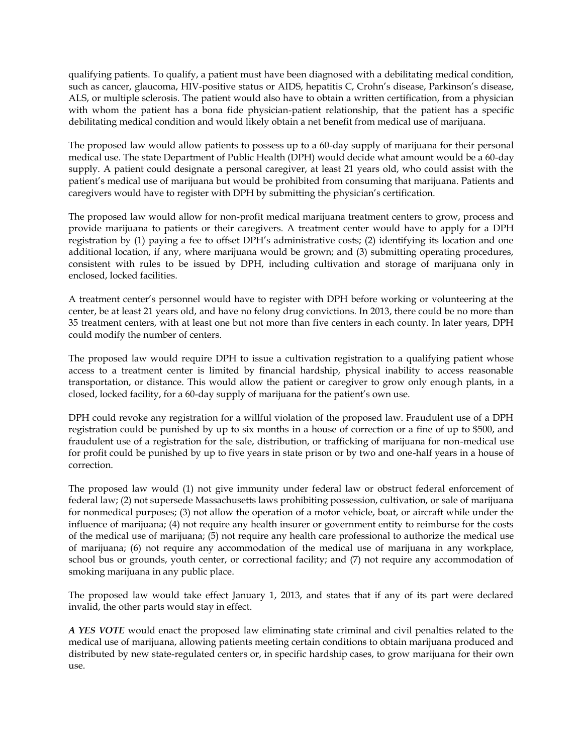qualifying patients. To qualify, a patient must have been diagnosed with a debilitating medical condition, such as cancer, glaucoma, HIV-positive status or AIDS, hepatitis C, Crohn's disease, Parkinson's disease, ALS, or multiple sclerosis. The patient would also have to obtain a written certification, from a physician with whom the patient has a bona fide physician-patient relationship, that the patient has a specific debilitating medical condition and would likely obtain a net benefit from medical use of marijuana.

The proposed law would allow patients to possess up to a 60-day supply of marijuana for their personal medical use. The state Department of Public Health (DPH) would decide what amount would be a 60-day supply. A patient could designate a personal caregiver, at least 21 years old, who could assist with the patient's medical use of marijuana but would be prohibited from consuming that marijuana. Patients and caregivers would have to register with DPH by submitting the physician's certification.

The proposed law would allow for non-profit medical marijuana treatment centers to grow, process and provide marijuana to patients or their caregivers. A treatment center would have to apply for a DPH registration by (1) paying a fee to offset DPH's administrative costs; (2) identifying its location and one additional location, if any, where marijuana would be grown; and (3) submitting operating procedures, consistent with rules to be issued by DPH, including cultivation and storage of marijuana only in enclosed, locked facilities.

A treatment center's personnel would have to register with DPH before working or volunteering at the center, be at least 21 years old, and have no felony drug convictions. In 2013, there could be no more than 35 treatment centers, with at least one but not more than five centers in each county. In later years, DPH could modify the number of centers.

The proposed law would require DPH to issue a cultivation registration to a qualifying patient whose access to a treatment center is limited by financial hardship, physical inability to access reasonable transportation, or distance. This would allow the patient or caregiver to grow only enough plants, in a closed, locked facility, for a 60-day supply of marijuana for the patient's own use.

DPH could revoke any registration for a willful violation of the proposed law. Fraudulent use of a DPH registration could be punished by up to six months in a house of correction or a fine of up to \$500, and fraudulent use of a registration for the sale, distribution, or trafficking of marijuana for non-medical use for profit could be punished by up to five years in state prison or by two and one-half years in a house of correction.

The proposed law would (1) not give immunity under federal law or obstruct federal enforcement of federal law; (2) not supersede Massachusetts laws prohibiting possession, cultivation, or sale of marijuana for nonmedical purposes; (3) not allow the operation of a motor vehicle, boat, or aircraft while under the influence of marijuana; (4) not require any health insurer or government entity to reimburse for the costs of the medical use of marijuana; (5) not require any health care professional to authorize the medical use of marijuana; (6) not require any accommodation of the medical use of marijuana in any workplace, school bus or grounds, youth center, or correctional facility; and (7) not require any accommodation of smoking marijuana in any public place.

The proposed law would take effect January 1, 2013, and states that if any of its part were declared invalid, the other parts would stay in effect.

*A YES VOTE* would enact the proposed law eliminating state criminal and civil penalties related to the medical use of marijuana, allowing patients meeting certain conditions to obtain marijuana produced and distributed by new state-regulated centers or, in specific hardship cases, to grow marijuana for their own use.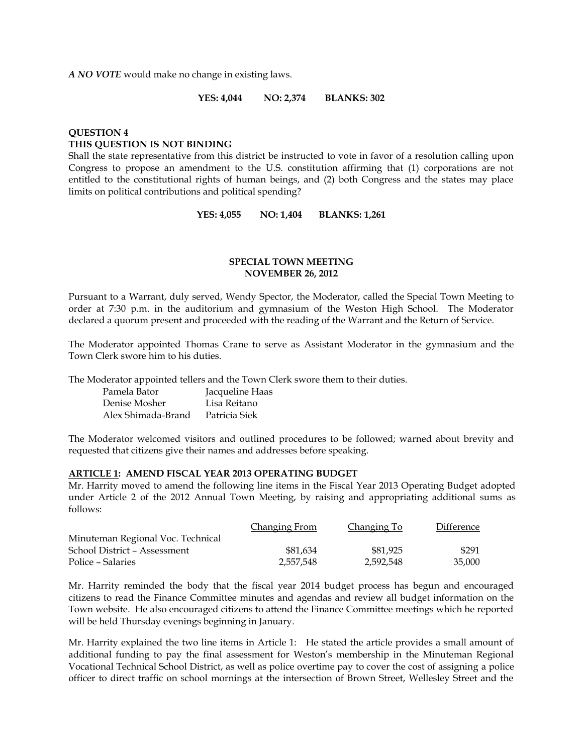*A NO VOTE* would make no change in existing laws.

**YES: 4,044 NO: 2,374 BLANKS: 302**

# **QUESTION 4 THIS QUESTION IS NOT BINDING**

Shall the state representative from this district be instructed to vote in favor of a resolution calling upon Congress to propose an amendment to the U.S. constitution affirming that (1) corporations are not entitled to the constitutional rights of human beings, and (2) both Congress and the states may place limits on political contributions and political spending?

**YES: 4,055 NO: 1,404 BLANKS: 1,261**

# **SPECIAL TOWN MEETING NOVEMBER 26, 2012**

Pursuant to a Warrant, duly served, Wendy Spector, the Moderator, called the Special Town Meeting to order at 7:30 p.m. in the auditorium and gymnasium of the Weston High School. The Moderator declared a quorum present and proceeded with the reading of the Warrant and the Return of Service.

The Moderator appointed Thomas Crane to serve as Assistant Moderator in the gymnasium and the Town Clerk swore him to his duties.

The Moderator appointed tellers and the Town Clerk swore them to their duties.

| Pamela Bator       | Jacqueline Haas |
|--------------------|-----------------|
| Denise Mosher      | Lisa Reitano    |
| Alex Shimada-Brand | Patricia Siek   |

The Moderator welcomed visitors and outlined procedures to be followed; warned about brevity and requested that citizens give their names and addresses before speaking.

# **ARTICLE 1: AMEND FISCAL YEAR 2013 OPERATING BUDGET**

Mr. Harrity moved to amend the following line items in the Fiscal Year 2013 Operating Budget adopted under Article 2 of the 2012 Annual Town Meeting, by raising and appropriating additional sums as follows:

|                                   | <b>Changing From</b> | Changing To | Difference |
|-----------------------------------|----------------------|-------------|------------|
| Minuteman Regional Voc. Technical |                      |             |            |
| School District – Assessment      | \$81,634             | \$81.925    | \$291      |
| Police – Salaries                 | 2,557,548            | 2,592,548   | 35,000     |

Mr. Harrity reminded the body that the fiscal year 2014 budget process has begun and encouraged citizens to read the Finance Committee minutes and agendas and review all budget information on the Town website. He also encouraged citizens to attend the Finance Committee meetings which he reported will be held Thursday evenings beginning in January.

Mr. Harrity explained the two line items in Article 1: He stated the article provides a small amount of additional funding to pay the final assessment for Weston's membership in the Minuteman Regional Vocational Technical School District, as well as police overtime pay to cover the cost of assigning a police officer to direct traffic on school mornings at the intersection of Brown Street, Wellesley Street and the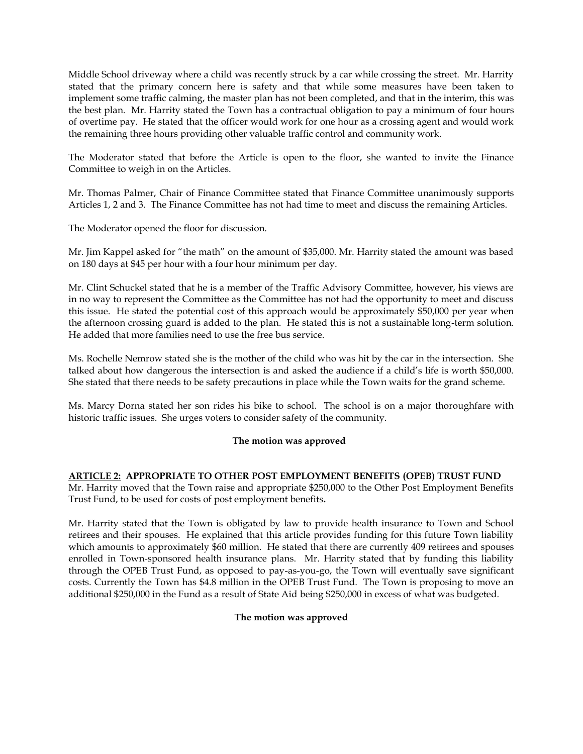Middle School driveway where a child was recently struck by a car while crossing the street. Mr. Harrity stated that the primary concern here is safety and that while some measures have been taken to implement some traffic calming, the master plan has not been completed, and that in the interim, this was the best plan. Mr. Harrity stated the Town has a contractual obligation to pay a minimum of four hours of overtime pay. He stated that the officer would work for one hour as a crossing agent and would work the remaining three hours providing other valuable traffic control and community work.

The Moderator stated that before the Article is open to the floor, she wanted to invite the Finance Committee to weigh in on the Articles.

Mr. Thomas Palmer, Chair of Finance Committee stated that Finance Committee unanimously supports Articles 1, 2 and 3. The Finance Committee has not had time to meet and discuss the remaining Articles.

The Moderator opened the floor for discussion.

Mr. Jim Kappel asked for "the math" on the amount of \$35,000. Mr. Harrity stated the amount was based on 180 days at \$45 per hour with a four hour minimum per day.

Mr. Clint Schuckel stated that he is a member of the Traffic Advisory Committee, however, his views are in no way to represent the Committee as the Committee has not had the opportunity to meet and discuss this issue. He stated the potential cost of this approach would be approximately \$50,000 per year when the afternoon crossing guard is added to the plan. He stated this is not a sustainable long-term solution. He added that more families need to use the free bus service.

Ms. Rochelle Nemrow stated she is the mother of the child who was hit by the car in the intersection. She talked about how dangerous the intersection is and asked the audience if a child's life is worth \$50,000. She stated that there needs to be safety precautions in place while the Town waits for the grand scheme.

Ms. Marcy Dorna stated her son rides his bike to school. The school is on a major thoroughfare with historic traffic issues. She urges voters to consider safety of the community.

# **The motion was approved**

# **ARTICLE 2: APPROPRIATE TO OTHER POST EMPLOYMENT BENEFITS (OPEB) TRUST FUND**

Mr. Harrity moved that the Town raise and appropriate \$250,000 to the Other Post Employment Benefits Trust Fund, to be used for costs of post employment benefits**.**

Mr. Harrity stated that the Town is obligated by law to provide health insurance to Town and School retirees and their spouses. He explained that this article provides funding for this future Town liability which amounts to approximately \$60 million. He stated that there are currently 409 retirees and spouses enrolled in Town-sponsored health insurance plans. Mr. Harrity stated that by funding this liability through the OPEB Trust Fund, as opposed to pay-as-you-go, the Town will eventually save significant costs. Currently the Town has \$4.8 million in the OPEB Trust Fund. The Town is proposing to move an additional \$250,000 in the Fund as a result of State Aid being \$250,000 in excess of what was budgeted.

# **The motion was approved**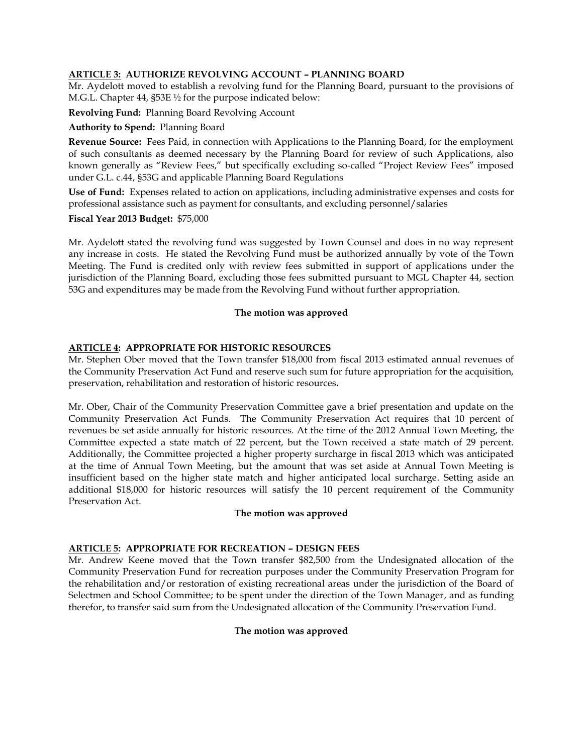# **ARTICLE 3: AUTHORIZE REVOLVING ACCOUNT – PLANNING BOARD**

Mr. Aydelott moved to establish a revolving fund for the Planning Board, pursuant to the provisions of M.G.L. Chapter 44, §53E ½ for the purpose indicated below:

**Revolving Fund:** Planning Board Revolving Account

# **Authority to Spend:** Planning Board

**Revenue Source:** Fees Paid, in connection with Applications to the Planning Board, for the employment of such consultants as deemed necessary by the Planning Board for review of such Applications, also known generally as "Review Fees," but specifically excluding so-called "Project Review Fees" imposed under G.L. c.44, §53G and applicable Planning Board Regulations

**Use of Fund:** Expenses related to action on applications, including administrative expenses and costs for professional assistance such as payment for consultants, and excluding personnel/salaries

#### **Fiscal Year 2013 Budget:** \$75,000

Mr. Aydelott stated the revolving fund was suggested by Town Counsel and does in no way represent any increase in costs. He stated the Revolving Fund must be authorized annually by vote of the Town Meeting. The Fund is credited only with review fees submitted in support of applications under the jurisdiction of the Planning Board, excluding those fees submitted pursuant to MGL Chapter 44, section 53G and expenditures may be made from the Revolving Fund without further appropriation.

# **The motion was approved**

# **ARTICLE 4: APPROPRIATE FOR HISTORIC RESOURCES**

Mr. Stephen Ober moved that the Town transfer \$18,000 from fiscal 2013 estimated annual revenues of the Community Preservation Act Fund and reserve such sum for future appropriation for the acquisition, preservation, rehabilitation and restoration of historic resources**.**

Mr. Ober, Chair of the Community Preservation Committee gave a brief presentation and update on the Community Preservation Act Funds. The Community Preservation Act requires that 10 percent of revenues be set aside annually for historic resources. At the time of the 2012 Annual Town Meeting, the Committee expected a state match of 22 percent, but the Town received a state match of 29 percent. Additionally, the Committee projected a higher property surcharge in fiscal 2013 which was anticipated at the time of Annual Town Meeting, but the amount that was set aside at Annual Town Meeting is insufficient based on the higher state match and higher anticipated local surcharge. Setting aside an additional \$18,000 for historic resources will satisfy the 10 percent requirement of the Community Preservation Act.

#### **The motion was approved**

# **ARTICLE 5: APPROPRIATE FOR RECREATION – DESIGN FEES**

Mr. Andrew Keene moved that the Town transfer \$82,500 from the Undesignated allocation of the Community Preservation Fund for recreation purposes under the Community Preservation Program for the rehabilitation and/or restoration of existing recreational areas under the jurisdiction of the Board of Selectmen and School Committee; to be spent under the direction of the Town Manager, and as funding therefor, to transfer said sum from the Undesignated allocation of the Community Preservation Fund.

#### **The motion was approved**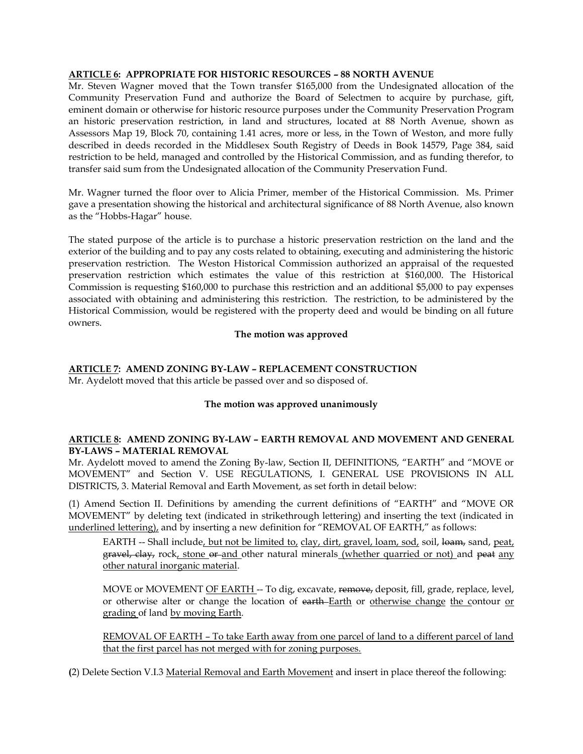# **ARTICLE 6: APPROPRIATE FOR HISTORIC RESOURCES – 88 NORTH AVENUE**

Mr. Steven Wagner moved that the Town transfer \$165,000 from the Undesignated allocation of the Community Preservation Fund and authorize the Board of Selectmen to acquire by purchase, gift, eminent domain or otherwise for historic resource purposes under the Community Preservation Program an historic preservation restriction, in land and structures, located at 88 North Avenue, shown as Assessors Map 19, Block 70, containing 1.41 acres, more or less, in the Town of Weston, and more fully described in deeds recorded in the Middlesex South Registry of Deeds in Book 14579, Page 384, said restriction to be held, managed and controlled by the Historical Commission, and as funding therefor, to transfer said sum from the Undesignated allocation of the Community Preservation Fund.

Mr. Wagner turned the floor over to Alicia Primer, member of the Historical Commission. Ms. Primer gave a presentation showing the historical and architectural significance of 88 North Avenue, also known as the "Hobbs-Hagar" house.

The stated purpose of the article is to purchase a historic preservation restriction on the land and the exterior of the building and to pay any costs related to obtaining, executing and administering the historic preservation restriction. The Weston Historical Commission authorized an appraisal of the requested preservation restriction which estimates the value of this restriction at \$160,000. The Historical Commission is requesting \$160,000 to purchase this restriction and an additional \$5,000 to pay expenses associated with obtaining and administering this restriction. The restriction, to be administered by the Historical Commission, would be registered with the property deed and would be binding on all future owners.

# **The motion was approved**

# **ARTICLE 7: AMEND ZONING BY-LAW – REPLACEMENT CONSTRUCTION**

Mr. Aydelott moved that this article be passed over and so disposed of.

# **The motion was approved unanimously**

# **ARTICLE 8: AMEND ZONING BY-LAW – EARTH REMOVAL AND MOVEMENT AND GENERAL BY-LAWS – MATERIAL REMOVAL**

Mr. Aydelott moved to amend the Zoning By-law, Section II, DEFINITIONS, "EARTH" and "MOVE or MOVEMENT" and Section V. USE REGULATIONS, I. GENERAL USE PROVISIONS IN ALL DISTRICTS, 3. Material Removal and Earth Movement, as set forth in detail below:

(1) Amend Section II. Definitions by amending the current definitions of "EARTH" and "MOVE OR MOVEMENT" by deleting text (indicated in strikethrough lettering) and inserting the text (indicated in underlined lettering), and by inserting a new definition for "REMOVAL OF EARTH," as follows:

EARTH -- Shall include, but not be limited to, clay, dirt, gravel, loam, sod, soil, loam, sand, peat, gravel, clay, rock, stone or and other natural minerals (whether quarried or not) and peat any other natural inorganic material.

MOVE or MOVEMENT OF EARTH -- To dig, excavate, remove, deposit, fill, grade, replace, level, or otherwise alter or change the location of earth-Earth or otherwise change the contour or grading of land by moving Earth.

REMOVAL OF EARTH – To take Earth away from one parcel of land to a different parcel of land that the first parcel has not merged with for zoning purposes.

**(**2) Delete Section V.I.3 Material Removal and Earth Movement and insert in place thereof the following: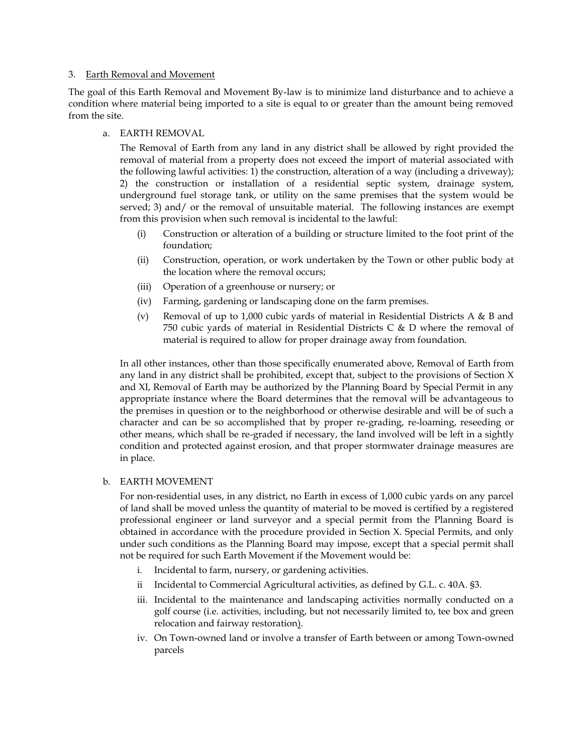#### 3. Earth Removal and Movement

The goal of this Earth Removal and Movement By-law is to minimize land disturbance and to achieve a condition where material being imported to a site is equal to or greater than the amount being removed from the site.

# a. EARTH REMOVAL

The Removal of Earth from any land in any district shall be allowed by right provided the removal of material from a property does not exceed the import of material associated with the following lawful activities: 1) the construction, alteration of a way (including a driveway); 2) the construction or installation of a residential septic system, drainage system, underground fuel storage tank, or utility on the same premises that the system would be served; 3) and/ or the removal of unsuitable material. The following instances are exempt from this provision when such removal is incidental to the lawful:

- (i) Construction or alteration of a building or structure limited to the foot print of the foundation;
- (ii) Construction, operation, or work undertaken by the Town or other public body at the location where the removal occurs;
- (iii) Operation of a greenhouse or nursery; or
- (iv) Farming, gardening or landscaping done on the farm premises.
- (v) Removal of up to 1,000 cubic yards of material in Residential Districts A & B and 750 cubic yards of material in Residential Districts C & D where the removal of material is required to allow for proper drainage away from foundation.

In all other instances, other than those specifically enumerated above, Removal of Earth from any land in any district shall be prohibited, except that, subject to the provisions of Section X and XI, Removal of Earth may be authorized by the Planning Board by Special Permit in any appropriate instance where the Board determines that the removal will be advantageous to the premises in question or to the neighborhood or otherwise desirable and will be of such a character and can be so accomplished that by proper re-grading, re-loaming, reseeding or other means, which shall be re-graded if necessary, the land involved will be left in a sightly condition and protected against erosion, and that proper stormwater drainage measures are in place.

# b. EARTH MOVEMENT

For non-residential uses, in any district, no Earth in excess of 1,000 cubic yards on any parcel of land shall be moved unless the quantity of material to be moved is certified by a registered professional engineer or land surveyor and a special permit from the Planning Board is obtained in accordance with the procedure provided in Section X. Special Permits, and only under such conditions as the Planning Board may impose, except that a special permit shall not be required for such Earth Movement if the Movement would be:

- i. Incidental to farm, nursery, or gardening activities.
- ii Incidental to Commercial Agricultural activities, as defined by G.L. c. 40A. §3.
- iii. Incidental to the maintenance and landscaping activities normally conducted on a golf course (i.e. activities, including, but not necessarily limited to, tee box and green relocation and fairway restoration).
- iv. On Town-owned land or involve a transfer of Earth between or among Town-owned parcels